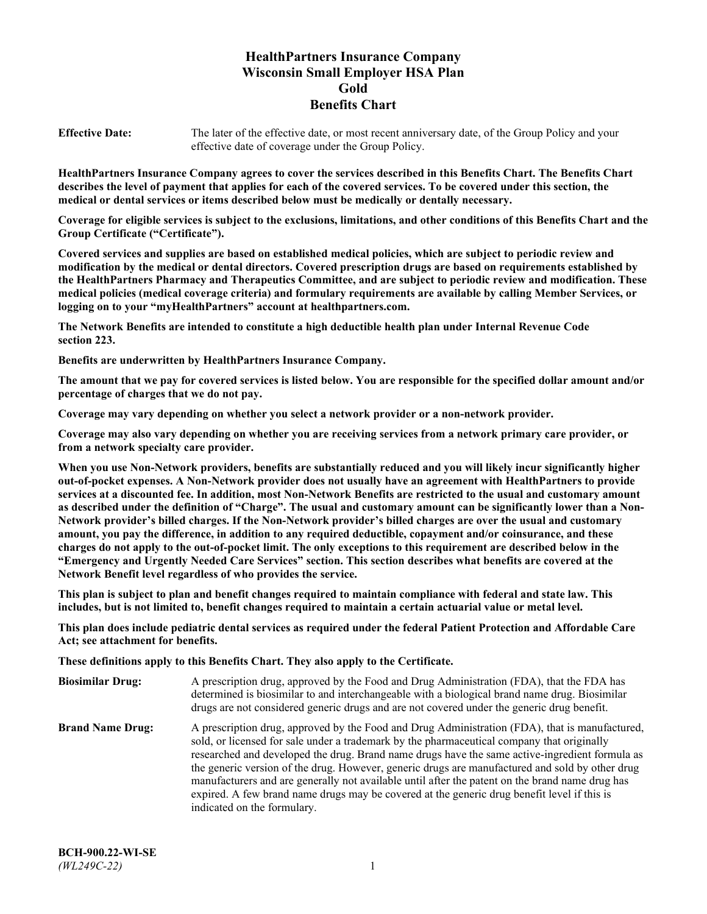# **HealthPartners Insurance Company Wisconsin Small Employer HSA Plan Gold Benefits Chart**

**Effective Date:** The later of the effective date, or most recent anniversary date, of the Group Policy and your effective date of coverage under the Group Policy.

**HealthPartners Insurance Company agrees to cover the services described in this Benefits Chart. The Benefits Chart describes the level of payment that applies for each of the covered services. To be covered under this section, the medical or dental services or items described below must be medically or dentally necessary.**

**Coverage for eligible services is subject to the exclusions, limitations, and other conditions of this Benefits Chart and the Group Certificate ("Certificate").**

**Covered services and supplies are based on established medical policies, which are subject to periodic review and modification by the medical or dental directors. Covered prescription drugs are based on requirements established by the HealthPartners Pharmacy and Therapeutics Committee, and are subject to periodic review and modification. These medical policies (medical coverage criteria) and formulary requirements are available by calling Member Services, or logging on to your "myHealthPartners" account at [healthpartners.com.](https://www.healthpartners.com/hp/index.html)**

**The Network Benefits are intended to constitute a high deductible health plan under Internal Revenue Code section 223.**

**Benefits are underwritten by HealthPartners Insurance Company.**

**The amount that we pay for covered services is listed below. You are responsible for the specified dollar amount and/or percentage of charges that we do not pay.**

**Coverage may vary depending on whether you select a network provider or a non-network provider.**

**Coverage may also vary depending on whether you are receiving services from a network primary care provider, or from a network specialty care provider.**

**When you use Non-Network providers, benefits are substantially reduced and you will likely incur significantly higher out-of-pocket expenses. A Non-Network provider does not usually have an agreement with HealthPartners to provide services at a discounted fee. In addition, most Non-Network Benefits are restricted to the usual and customary amount as described under the definition of "Charge". The usual and customary amount can be significantly lower than a Non-Network provider's billed charges. If the Non-Network provider's billed charges are over the usual and customary amount, you pay the difference, in addition to any required deductible, copayment and/or coinsurance, and these charges do not apply to the out-of-pocket limit. The only exceptions to this requirement are described below in the "Emergency and Urgently Needed Care Services" section. This section describes what benefits are covered at the Network Benefit level regardless of who provides the service.**

**This plan is subject to plan and benefit changes required to maintain compliance with federal and state law. This includes, but is not limited to, benefit changes required to maintain a certain actuarial value or metal level.**

**This plan does include pediatric dental services as required under the federal Patient Protection and Affordable Care Act; see attachment for benefits.**

**These definitions apply to this Benefits Chart. They also apply to the Certificate.**

| <b>Biosimilar Drug:</b> | A prescription drug, approved by the Food and Drug Administration (FDA), that the FDA has<br>determined is biosimilar to and interchangeable with a biological brand name drug. Biosimilar<br>drugs are not considered generic drugs and are not covered under the generic drug benefit.                                                                                                                                                                                                                                                                                                                                           |
|-------------------------|------------------------------------------------------------------------------------------------------------------------------------------------------------------------------------------------------------------------------------------------------------------------------------------------------------------------------------------------------------------------------------------------------------------------------------------------------------------------------------------------------------------------------------------------------------------------------------------------------------------------------------|
| <b>Brand Name Drug:</b> | A prescription drug, approved by the Food and Drug Administration (FDA), that is manufactured,<br>sold, or licensed for sale under a trademark by the pharmaceutical company that originally<br>researched and developed the drug. Brand name drugs have the same active-ingredient formula as<br>the generic version of the drug. However, generic drugs are manufactured and sold by other drug<br>manufacturers and are generally not available until after the patent on the brand name drug has<br>expired. A few brand name drugs may be covered at the generic drug benefit level if this is<br>indicated on the formulary. |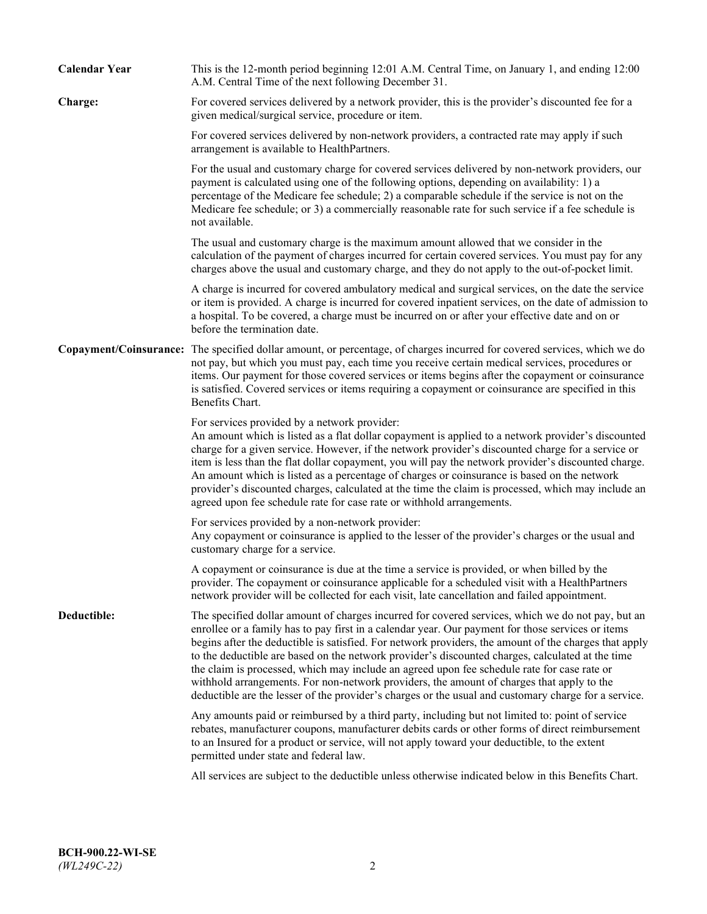| <b>Calendar Year</b> | This is the 12-month period beginning 12:01 A.M. Central Time, on January 1, and ending 12:00<br>A.M. Central Time of the next following December 31.                                                                                                                                                                                                                                                                                                                                                                                                                                                                                                                                                                   |
|----------------------|-------------------------------------------------------------------------------------------------------------------------------------------------------------------------------------------------------------------------------------------------------------------------------------------------------------------------------------------------------------------------------------------------------------------------------------------------------------------------------------------------------------------------------------------------------------------------------------------------------------------------------------------------------------------------------------------------------------------------|
| Charge:              | For covered services delivered by a network provider, this is the provider's discounted fee for a<br>given medical/surgical service, procedure or item.                                                                                                                                                                                                                                                                                                                                                                                                                                                                                                                                                                 |
|                      | For covered services delivered by non-network providers, a contracted rate may apply if such<br>arrangement is available to HealthPartners.                                                                                                                                                                                                                                                                                                                                                                                                                                                                                                                                                                             |
|                      | For the usual and customary charge for covered services delivered by non-network providers, our<br>payment is calculated using one of the following options, depending on availability: 1) a<br>percentage of the Medicare fee schedule; 2) a comparable schedule if the service is not on the<br>Medicare fee schedule; or 3) a commercially reasonable rate for such service if a fee schedule is<br>not available.                                                                                                                                                                                                                                                                                                   |
|                      | The usual and customary charge is the maximum amount allowed that we consider in the<br>calculation of the payment of charges incurred for certain covered services. You must pay for any<br>charges above the usual and customary charge, and they do not apply to the out-of-pocket limit.                                                                                                                                                                                                                                                                                                                                                                                                                            |
|                      | A charge is incurred for covered ambulatory medical and surgical services, on the date the service<br>or item is provided. A charge is incurred for covered inpatient services, on the date of admission to<br>a hospital. To be covered, a charge must be incurred on or after your effective date and on or<br>before the termination date.                                                                                                                                                                                                                                                                                                                                                                           |
|                      | Copayment/Coinsurance: The specified dollar amount, or percentage, of charges incurred for covered services, which we do<br>not pay, but which you must pay, each time you receive certain medical services, procedures or<br>items. Our payment for those covered services or items begins after the copayment or coinsurance<br>is satisfied. Covered services or items requiring a copayment or coinsurance are specified in this<br>Benefits Chart.                                                                                                                                                                                                                                                                 |
|                      | For services provided by a network provider:<br>An amount which is listed as a flat dollar copayment is applied to a network provider's discounted<br>charge for a given service. However, if the network provider's discounted charge for a service or<br>item is less than the flat dollar copayment, you will pay the network provider's discounted charge.<br>An amount which is listed as a percentage of charges or coinsurance is based on the network<br>provider's discounted charges, calculated at the time the claim is processed, which may include an<br>agreed upon fee schedule rate for case rate or withhold arrangements.                                                                            |
|                      | For services provided by a non-network provider:<br>Any copayment or coinsurance is applied to the lesser of the provider's charges or the usual and<br>customary charge for a service.                                                                                                                                                                                                                                                                                                                                                                                                                                                                                                                                 |
|                      | A copayment or coinsurance is due at the time a service is provided, or when billed by the<br>provider. The copayment or coinsurance applicable for a scheduled visit with a HealthPartners<br>network provider will be collected for each visit, late cancellation and failed appointment.                                                                                                                                                                                                                                                                                                                                                                                                                             |
| Deductible:          | The specified dollar amount of charges incurred for covered services, which we do not pay, but an<br>enrollee or a family has to pay first in a calendar year. Our payment for those services or items<br>begins after the deductible is satisfied. For network providers, the amount of the charges that apply<br>to the deductible are based on the network provider's discounted charges, calculated at the time<br>the claim is processed, which may include an agreed upon fee schedule rate for case rate or<br>withhold arrangements. For non-network providers, the amount of charges that apply to the<br>deductible are the lesser of the provider's charges or the usual and customary charge for a service. |
|                      | Any amounts paid or reimbursed by a third party, including but not limited to: point of service<br>rebates, manufacturer coupons, manufacturer debits cards or other forms of direct reimbursement<br>to an Insured for a product or service, will not apply toward your deductible, to the extent<br>permitted under state and federal law.                                                                                                                                                                                                                                                                                                                                                                            |
|                      | All services are subject to the deductible unless otherwise indicated below in this Benefits Chart.                                                                                                                                                                                                                                                                                                                                                                                                                                                                                                                                                                                                                     |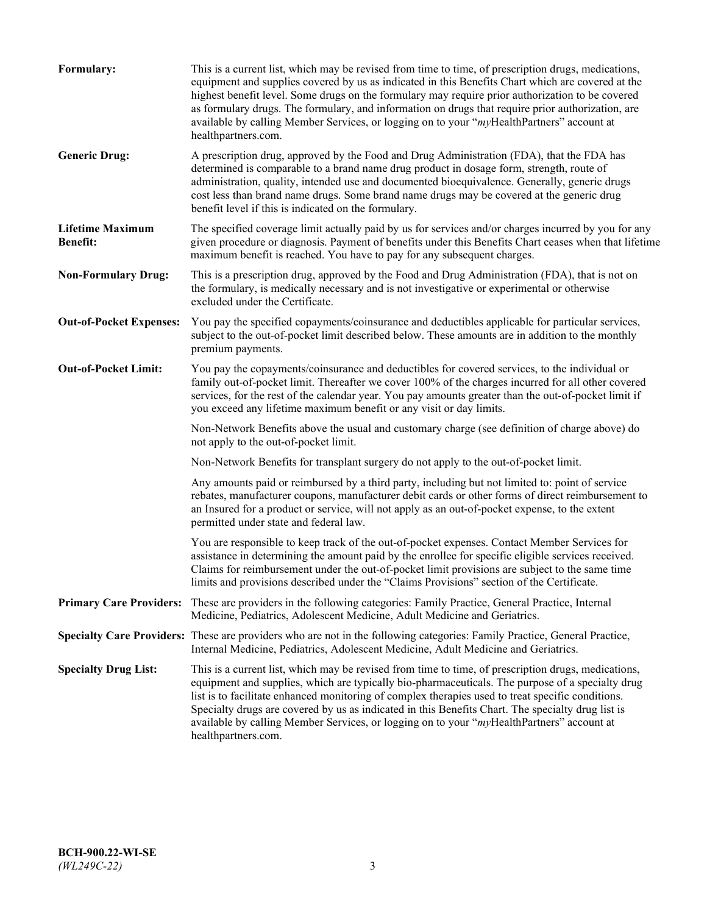| Formulary:                                 | This is a current list, which may be revised from time to time, of prescription drugs, medications,<br>equipment and supplies covered by us as indicated in this Benefits Chart which are covered at the<br>highest benefit level. Some drugs on the formulary may require prior authorization to be covered<br>as formulary drugs. The formulary, and information on drugs that require prior authorization, are<br>available by calling Member Services, or logging on to your "myHealthPartners" account at<br>healthpartners.com. |
|--------------------------------------------|---------------------------------------------------------------------------------------------------------------------------------------------------------------------------------------------------------------------------------------------------------------------------------------------------------------------------------------------------------------------------------------------------------------------------------------------------------------------------------------------------------------------------------------|
| <b>Generic Drug:</b>                       | A prescription drug, approved by the Food and Drug Administration (FDA), that the FDA has<br>determined is comparable to a brand name drug product in dosage form, strength, route of<br>administration, quality, intended use and documented bioequivalence. Generally, generic drugs<br>cost less than brand name drugs. Some brand name drugs may be covered at the generic drug<br>benefit level if this is indicated on the formulary.                                                                                           |
| <b>Lifetime Maximum</b><br><b>Benefit:</b> | The specified coverage limit actually paid by us for services and/or charges incurred by you for any<br>given procedure or diagnosis. Payment of benefits under this Benefits Chart ceases when that lifetime<br>maximum benefit is reached. You have to pay for any subsequent charges.                                                                                                                                                                                                                                              |
| <b>Non-Formulary Drug:</b>                 | This is a prescription drug, approved by the Food and Drug Administration (FDA), that is not on<br>the formulary, is medically necessary and is not investigative or experimental or otherwise<br>excluded under the Certificate.                                                                                                                                                                                                                                                                                                     |
| <b>Out-of-Pocket Expenses:</b>             | You pay the specified copayments/coinsurance and deductibles applicable for particular services,<br>subject to the out-of-pocket limit described below. These amounts are in addition to the monthly<br>premium payments.                                                                                                                                                                                                                                                                                                             |
| <b>Out-of-Pocket Limit:</b>                | You pay the copayments/coinsurance and deductibles for covered services, to the individual or<br>family out-of-pocket limit. Thereafter we cover 100% of the charges incurred for all other covered<br>services, for the rest of the calendar year. You pay amounts greater than the out-of-pocket limit if<br>you exceed any lifetime maximum benefit or any visit or day limits.                                                                                                                                                    |
|                                            | Non-Network Benefits above the usual and customary charge (see definition of charge above) do<br>not apply to the out-of-pocket limit.                                                                                                                                                                                                                                                                                                                                                                                                |
|                                            | Non-Network Benefits for transplant surgery do not apply to the out-of-pocket limit.                                                                                                                                                                                                                                                                                                                                                                                                                                                  |
|                                            | Any amounts paid or reimbursed by a third party, including but not limited to: point of service<br>rebates, manufacturer coupons, manufacturer debit cards or other forms of direct reimbursement to<br>an Insured for a product or service, will not apply as an out-of-pocket expense, to the extent<br>permitted under state and federal law.                                                                                                                                                                                      |
|                                            | You are responsible to keep track of the out-of-pocket expenses. Contact Member Services for<br>assistance in determining the amount paid by the enrollee for specific eligible services received.<br>Claims for reimbursement under the out-of-pocket limit provisions are subject to the same time<br>limits and provisions described under the "Claims Provisions" section of the Certificate.                                                                                                                                     |
| <b>Primary Care Providers:</b>             | These are providers in the following categories: Family Practice, General Practice, Internal<br>Medicine, Pediatrics, Adolescent Medicine, Adult Medicine and Geriatrics.                                                                                                                                                                                                                                                                                                                                                             |
|                                            | Specialty Care Providers: These are providers who are not in the following categories: Family Practice, General Practice,<br>Internal Medicine, Pediatrics, Adolescent Medicine, Adult Medicine and Geriatrics.                                                                                                                                                                                                                                                                                                                       |
| <b>Specialty Drug List:</b>                | This is a current list, which may be revised from time to time, of prescription drugs, medications,<br>equipment and supplies, which are typically bio-pharmaceuticals. The purpose of a specialty drug<br>list is to facilitate enhanced monitoring of complex therapies used to treat specific conditions.<br>Specialty drugs are covered by us as indicated in this Benefits Chart. The specialty drug list is<br>available by calling Member Services, or logging on to your "myHealthPartners" account at<br>healthpartners.com. |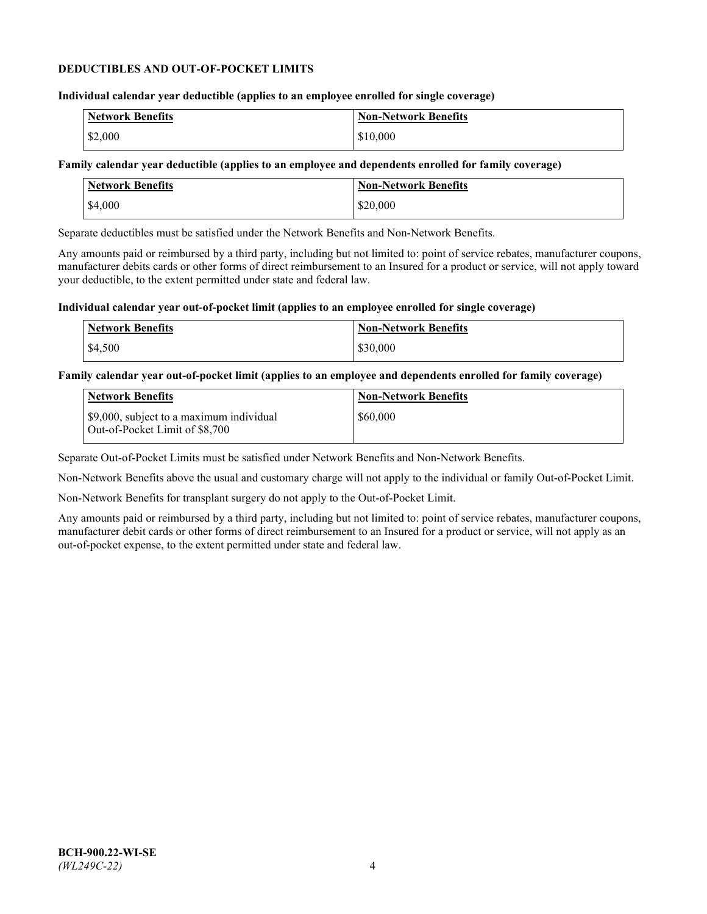### **DEDUCTIBLES AND OUT-OF-POCKET LIMITS**

## **Individual calendar year deductible (applies to an employee enrolled for single coverage)**

| Network Benefits | <b>Non-Network Benefits</b> |
|------------------|-----------------------------|
| \$2,000          | \$10,000                    |

## **Family calendar year deductible (applies to an employee and dependents enrolled for family coverage)**

| <b>Network Benefits</b> | <b>Non-Network Benefits</b> |
|-------------------------|-----------------------------|
| \$4,000                 | \$20,000                    |

Separate deductibles must be satisfied under the Network Benefits and Non-Network Benefits.

Any amounts paid or reimbursed by a third party, including but not limited to: point of service rebates, manufacturer coupons, manufacturer debits cards or other forms of direct reimbursement to an Insured for a product or service, will not apply toward your deductible, to the extent permitted under state and federal law.

### **Individual calendar year out-of-pocket limit (applies to an employee enrolled for single coverage)**

| <b>Network Benefits</b> | <b>Non-Network Benefits</b> |
|-------------------------|-----------------------------|
| \$4,500                 | \$30,000                    |

### **Family calendar year out-of-pocket limit (applies to an employee and dependents enrolled for family coverage)**

| <b>Network Benefits</b>                                                    | <b>Non-Network Benefits</b> |
|----------------------------------------------------------------------------|-----------------------------|
| \$9,000, subject to a maximum individual<br>Out-of-Pocket Limit of \$8,700 | \$60,000                    |

Separate Out-of-Pocket Limits must be satisfied under Network Benefits and Non-Network Benefits.

Non-Network Benefits above the usual and customary charge will not apply to the individual or family Out-of-Pocket Limit.

Non-Network Benefits for transplant surgery do not apply to the Out-of-Pocket Limit.

Any amounts paid or reimbursed by a third party, including but not limited to: point of service rebates, manufacturer coupons, manufacturer debit cards or other forms of direct reimbursement to an Insured for a product or service, will not apply as an out-of-pocket expense, to the extent permitted under state and federal law.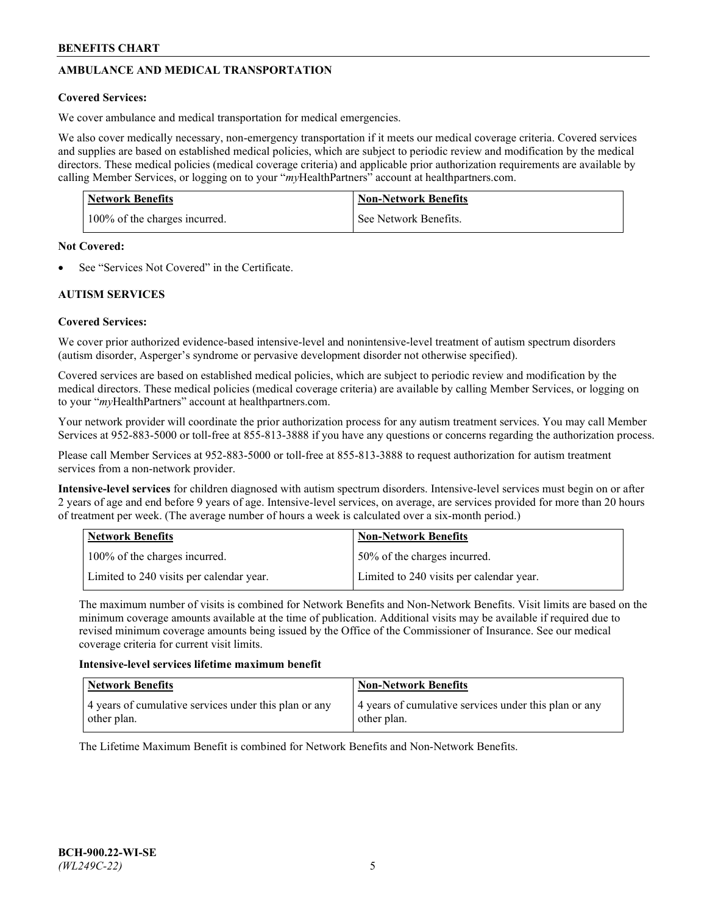# **AMBULANCE AND MEDICAL TRANSPORTATION**

## **Covered Services:**

We cover ambulance and medical transportation for medical emergencies.

We also cover medically necessary, non-emergency transportation if it meets our medical coverage criteria. Covered services and supplies are based on established medical policies, which are subject to periodic review and modification by the medical directors. These medical policies (medical coverage criteria) and applicable prior authorization requirements are available by calling Member Services, or logging on to your "*my*HealthPartners" account a[t healthpartners.com.](https://www.healthpartners.com/hp/index.html)

| <b>Network Benefits</b>       | <b>Non-Network Benefits</b> |
|-------------------------------|-----------------------------|
| 100% of the charges incurred. | See Network Benefits.       |

## **Not Covered:**

See "Services Not Covered" in the Certificate.

# **AUTISM SERVICES**

## **Covered Services:**

We cover prior authorized evidence-based intensive-level and nonintensive-level treatment of autism spectrum disorders (autism disorder, Asperger's syndrome or pervasive development disorder not otherwise specified).

Covered services are based on established medical policies, which are subject to periodic review and modification by the medical directors. These medical policies (medical coverage criteria) are available by calling Member Services, or logging on to your "*my*HealthPartners" account at [healthpartners.com.](https://www.healthpartners.com/hp/index.html)

Your network provider will coordinate the prior authorization process for any autism treatment services. You may call Member Services at 952-883-5000 or toll-free at 855-813-3888 if you have any questions or concerns regarding the authorization process.

Please call Member Services at 952-883-5000 or toll-free at 855-813-3888 to request authorization for autism treatment services from a non-network provider.

**Intensive-level services** for children diagnosed with autism spectrum disorders. Intensive-level services must begin on or after 2 years of age and end before 9 years of age. Intensive-level services, on average, are services provided for more than 20 hours of treatment per week. (The average number of hours a week is calculated over a six-month period.)

| Network Benefits                         | <b>Non-Network Benefits</b>              |
|------------------------------------------|------------------------------------------|
| 100% of the charges incurred.            | 50% of the charges incurred.             |
| Limited to 240 visits per calendar year. | Limited to 240 visits per calendar year. |

The maximum number of visits is combined for Network Benefits and Non-Network Benefits. Visit limits are based on the minimum coverage amounts available at the time of publication. Additional visits may be available if required due to revised minimum coverage amounts being issued by the Office of the Commissioner of Insurance. See our medical coverage criteria for current visit limits.

## **Intensive-level services lifetime maximum benefit**

| Network Benefits                                                     | <b>Non-Network Benefits</b>                                          |
|----------------------------------------------------------------------|----------------------------------------------------------------------|
| 4 years of cumulative services under this plan or any<br>other plan. | 4 years of cumulative services under this plan or any<br>other plan. |

The Lifetime Maximum Benefit is combined for Network Benefits and Non-Network Benefits.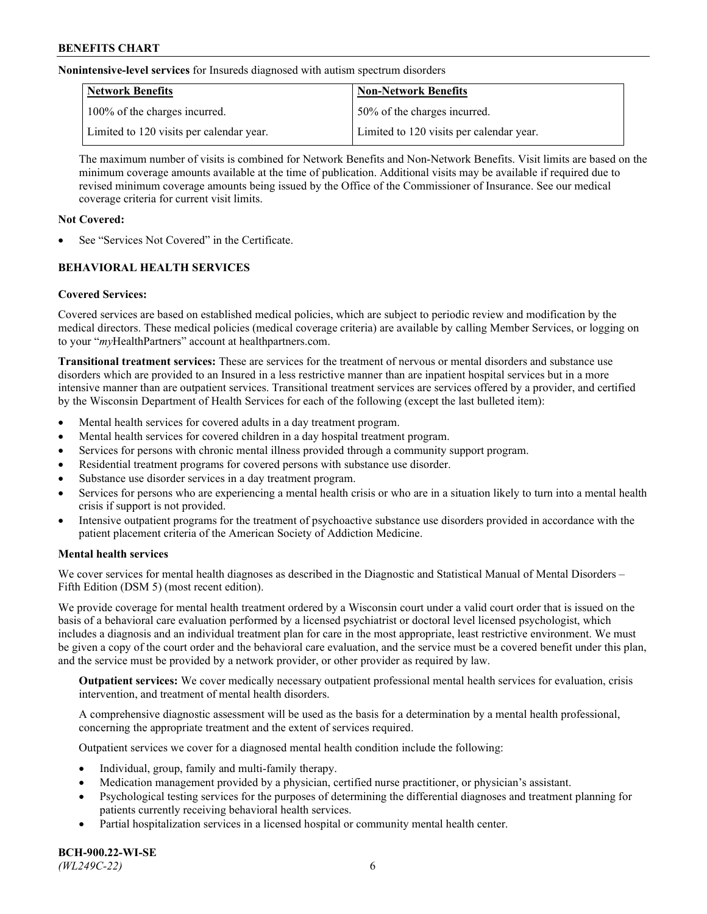**Nonintensive-level services** for Insureds diagnosed with autism spectrum disorders

| Network Benefits                         | <b>Non-Network Benefits</b>              |
|------------------------------------------|------------------------------------------|
| 100% of the charges incurred.            | 50% of the charges incurred.             |
| Limited to 120 visits per calendar year. | Limited to 120 visits per calendar year. |

The maximum number of visits is combined for Network Benefits and Non-Network Benefits. Visit limits are based on the minimum coverage amounts available at the time of publication. Additional visits may be available if required due to revised minimum coverage amounts being issued by the Office of the Commissioner of Insurance. See our medical coverage criteria for current visit limits.

## **Not Covered:**

See "Services Not Covered" in the Certificate.

# **BEHAVIORAL HEALTH SERVICES**

## **Covered Services:**

Covered services are based on established medical policies, which are subject to periodic review and modification by the medical directors. These medical policies (medical coverage criteria) are available by calling Member Services, or logging on to your "*my*HealthPartners" account at [healthpartners.com.](https://www.healthpartners.com/hp/index.html)

**Transitional treatment services:** These are services for the treatment of nervous or mental disorders and substance use disorders which are provided to an Insured in a less restrictive manner than are inpatient hospital services but in a more intensive manner than are outpatient services. Transitional treatment services are services offered by a provider, and certified by the Wisconsin Department of Health Services for each of the following (except the last bulleted item):

- Mental health services for covered adults in a day treatment program.
- Mental health services for covered children in a day hospital treatment program.
- Services for persons with chronic mental illness provided through a community support program.
- Residential treatment programs for covered persons with substance use disorder.
- Substance use disorder services in a day treatment program.
- Services for persons who are experiencing a mental health crisis or who are in a situation likely to turn into a mental health crisis if support is not provided.
- Intensive outpatient programs for the treatment of psychoactive substance use disorders provided in accordance with the patient placement criteria of the American Society of Addiction Medicine.

## **Mental health services**

We cover services for mental health diagnoses as described in the Diagnostic and Statistical Manual of Mental Disorders – Fifth Edition (DSM 5) (most recent edition).

We provide coverage for mental health treatment ordered by a Wisconsin court under a valid court order that is issued on the basis of a behavioral care evaluation performed by a licensed psychiatrist or doctoral level licensed psychologist, which includes a diagnosis and an individual treatment plan for care in the most appropriate, least restrictive environment. We must be given a copy of the court order and the behavioral care evaluation, and the service must be a covered benefit under this plan, and the service must be provided by a network provider, or other provider as required by law.

**Outpatient services:** We cover medically necessary outpatient professional mental health services for evaluation, crisis intervention, and treatment of mental health disorders.

A comprehensive diagnostic assessment will be used as the basis for a determination by a mental health professional, concerning the appropriate treatment and the extent of services required.

Outpatient services we cover for a diagnosed mental health condition include the following:

- Individual, group, family and multi-family therapy.
- Medication management provided by a physician, certified nurse practitioner, or physician's assistant.
- Psychological testing services for the purposes of determining the differential diagnoses and treatment planning for patients currently receiving behavioral health services.
- Partial hospitalization services in a licensed hospital or community mental health center.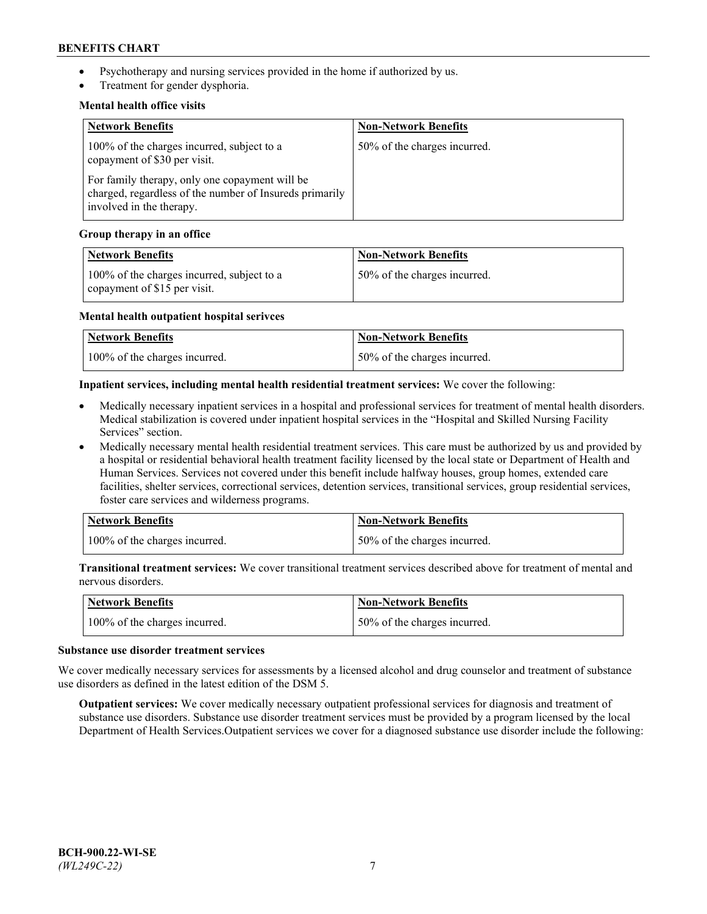- Psychotherapy and nursing services provided in the home if authorized by us.
- Treatment for gender dysphoria.

### **Mental health office visits**

| <b>Network Benefits</b>                                                                                                               | <b>Non-Network Benefits</b>  |
|---------------------------------------------------------------------------------------------------------------------------------------|------------------------------|
| 100% of the charges incurred, subject to a<br>copayment of \$30 per visit.                                                            | 50% of the charges incurred. |
| For family therapy, only one copayment will be<br>charged, regardless of the number of Insureds primarily<br>involved in the therapy. |                              |

### **Group therapy in an office**

| <b>Network Benefits</b>                                                    | <b>Non-Network Benefits</b>  |
|----------------------------------------------------------------------------|------------------------------|
| 100% of the charges incurred, subject to a<br>copayment of \$15 per visit. | 50% of the charges incurred. |

#### **Mental health outpatient hospital serivces**

| <b>Network Benefits</b>       | <b>Non-Network Benefits</b>   |
|-------------------------------|-------------------------------|
| 100% of the charges incurred. | 150% of the charges incurred. |

### **Inpatient services, including mental health residential treatment services:** We cover the following:

- Medically necessary inpatient services in a hospital and professional services for treatment of mental health disorders. Medical stabilization is covered under inpatient hospital services in the "Hospital and Skilled Nursing Facility Services" section.
- Medically necessary mental health residential treatment services. This care must be authorized by us and provided by a hospital or residential behavioral health treatment facility licensed by the local state or Department of Health and Human Services. Services not covered under this benefit include halfway houses, group homes, extended care facilities, shelter services, correctional services, detention services, transitional services, group residential services, foster care services and wilderness programs.

| Network Benefits              | Non-Network Benefits         |
|-------------------------------|------------------------------|
| 100% of the charges incurred. | 50% of the charges incurred. |

**Transitional treatment services:** We cover transitional treatment services described above for treatment of mental and nervous disorders.

| Network Benefits              | <b>Non-Network Benefits</b>  |
|-------------------------------|------------------------------|
| 100% of the charges incurred. | 50% of the charges incurred. |

#### **Substance use disorder treatment services**

We cover medically necessary services for assessments by a licensed alcohol and drug counselor and treatment of substance use disorders as defined in the latest edition of the DSM 5.

**Outpatient services:** We cover medically necessary outpatient professional services for diagnosis and treatment of substance use disorders. Substance use disorder treatment services must be provided by a program licensed by the local Department of Health Services.Outpatient services we cover for a diagnosed substance use disorder include the following: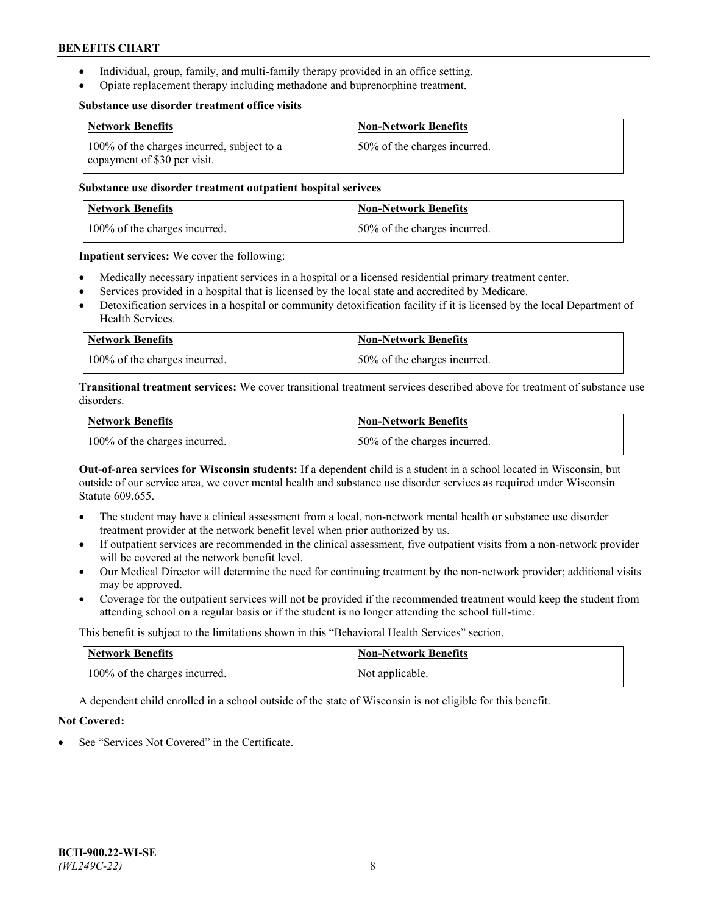- Individual, group, family, and multi-family therapy provided in an office setting.
- Opiate replacement therapy including methadone and buprenorphine treatment.

#### **Substance use disorder treatment office visits**

| <b>Network Benefits</b>                                                    | <b>Non-Network Benefits</b>  |
|----------------------------------------------------------------------------|------------------------------|
| 100% of the charges incurred, subject to a<br>copayment of \$30 per visit. | 50% of the charges incurred. |

## **Substance use disorder treatment outpatient hospital serivces**

| Network Benefits              | <b>Non-Network Benefits</b>  |
|-------------------------------|------------------------------|
| 100% of the charges incurred. | 50% of the charges incurred. |

**Inpatient services:** We cover the following:

- Medically necessary inpatient services in a hospital or a licensed residential primary treatment center.
- Services provided in a hospital that is licensed by the local state and accredited by Medicare.
- Detoxification services in a hospital or community detoxification facility if it is licensed by the local Department of Health Services.

| Network Benefits              | <b>Non-Network Benefits</b>  |
|-------------------------------|------------------------------|
| 100% of the charges incurred. | 50% of the charges incurred. |

**Transitional treatment services:** We cover transitional treatment services described above for treatment of substance use disorders.

| <b>Network Benefits</b>       | <b>Non-Network Benefits</b>  |
|-------------------------------|------------------------------|
| 100% of the charges incurred. | 50% of the charges incurred. |

**Out-of-area services for Wisconsin students:** If a dependent child is a student in a school located in Wisconsin, but outside of our service area, we cover mental health and substance use disorder services as required under Wisconsin Statute 609.655.

- The student may have a clinical assessment from a local, non-network mental health or substance use disorder treatment provider at the network benefit level when prior authorized by us.
- If outpatient services are recommended in the clinical assessment, five outpatient visits from a non-network provider will be covered at the network benefit level.
- Our Medical Director will determine the need for continuing treatment by the non-network provider; additional visits may be approved.
- Coverage for the outpatient services will not be provided if the recommended treatment would keep the student from attending school on a regular basis or if the student is no longer attending the school full-time.

This benefit is subject to the limitations shown in this "Behavioral Health Services" section.

| <b>Network Benefits</b>       | <b>Non-Network Benefits</b> |
|-------------------------------|-----------------------------|
| 100% of the charges incurred. | Not applicable.             |

A dependent child enrolled in a school outside of the state of Wisconsin is not eligible for this benefit.

## **Not Covered:**

See "Services Not Covered" in the Certificate.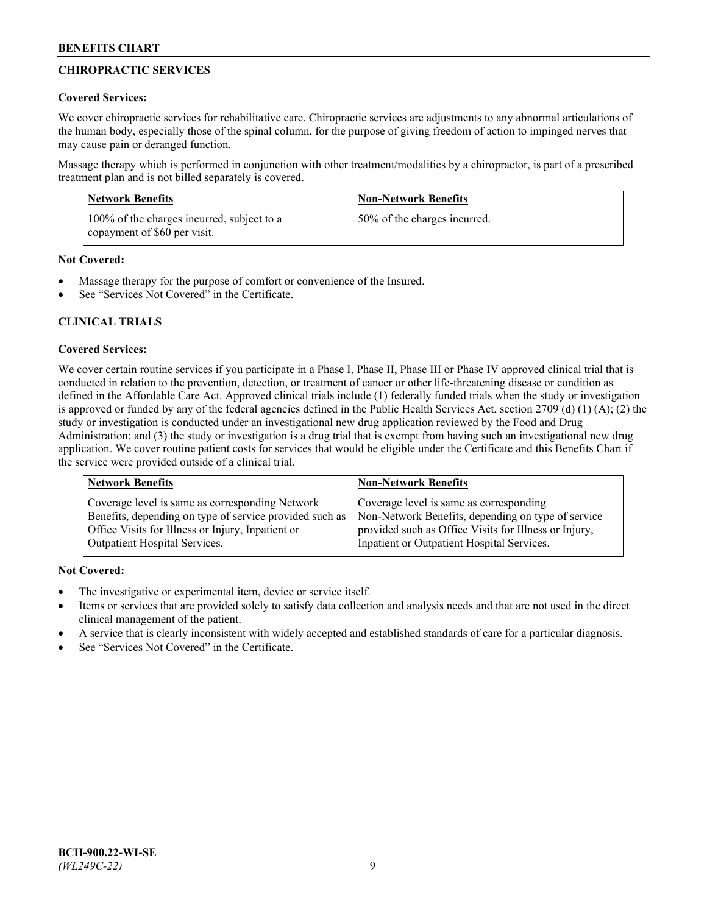# **CHIROPRACTIC SERVICES**

## **Covered Services:**

We cover chiropractic services for rehabilitative care. Chiropractic services are adjustments to any abnormal articulations of the human body, especially those of the spinal column, for the purpose of giving freedom of action to impinged nerves that may cause pain or deranged function.

Massage therapy which is performed in conjunction with other treatment/modalities by a chiropractor, is part of a prescribed treatment plan and is not billed separately is covered.

| Network Benefits                                                           | <b>Non-Network Benefits</b>  |
|----------------------------------------------------------------------------|------------------------------|
| 100% of the charges incurred, subject to a<br>copayment of \$60 per visit. | 50% of the charges incurred. |

**Not Covered:**

- Massage therapy for the purpose of comfort or convenience of the Insured.
- See "Services Not Covered" in the Certificate.

# **CLINICAL TRIALS**

## **Covered Services:**

We cover certain routine services if you participate in a Phase I, Phase II, Phase III or Phase IV approved clinical trial that is conducted in relation to the prevention, detection, or treatment of cancer or other life-threatening disease or condition as defined in the Affordable Care Act. Approved clinical trials include (1) federally funded trials when the study or investigation is approved or funded by any of the federal agencies defined in the Public Health Services Act, section 2709 (d) (1) (A); (2) the study or investigation is conducted under an investigational new drug application reviewed by the Food and Drug Administration; and (3) the study or investigation is a drug trial that is exempt from having such an investigational new drug application. We cover routine patient costs for services that would be eligible under the Certificate and this Benefits Chart if the service were provided outside of a clinical trial.

| <b>Network Benefits</b>                                 | <b>Non-Network Benefits</b>                           |
|---------------------------------------------------------|-------------------------------------------------------|
| Coverage level is same as corresponding Network         | Coverage level is same as corresponding               |
| Benefits, depending on type of service provided such as | Non-Network Benefits, depending on type of service    |
| Office Visits for Illness or Injury, Inpatient or       | provided such as Office Visits for Illness or Injury, |
| Outpatient Hospital Services.                           | Inpatient or Outpatient Hospital Services.            |

**Not Covered:**

- The investigative or experimental item, device or service itself.
- Items or services that are provided solely to satisfy data collection and analysis needs and that are not used in the direct clinical management of the patient.
- A service that is clearly inconsistent with widely accepted and established standards of care for a particular diagnosis.
- See "Services Not Covered" in the Certificate.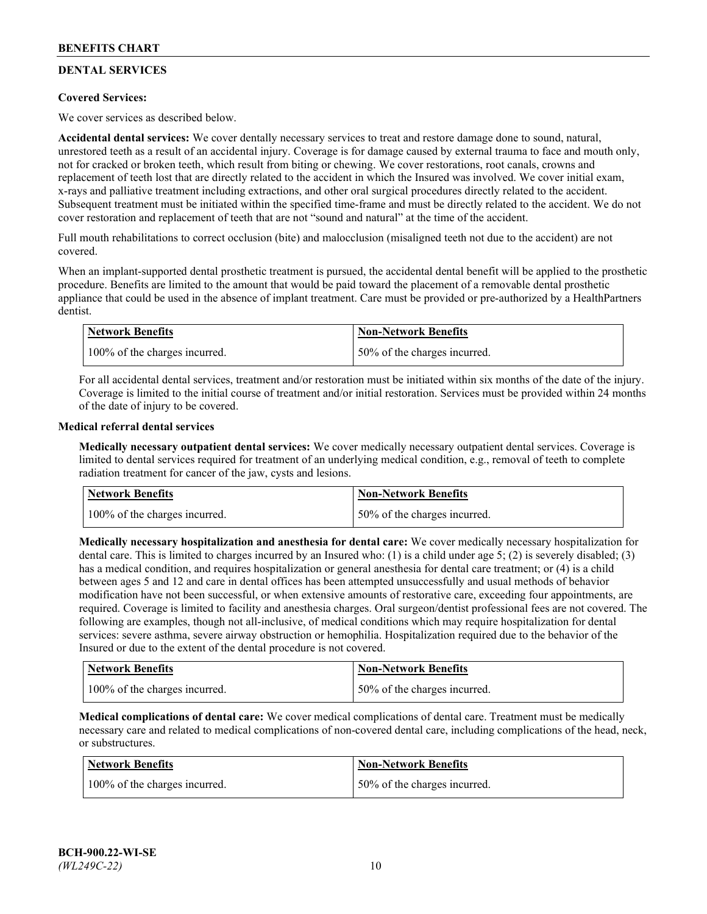# **DENTAL SERVICES**

## **Covered Services:**

We cover services as described below.

**Accidental dental services:** We cover dentally necessary services to treat and restore damage done to sound, natural, unrestored teeth as a result of an accidental injury. Coverage is for damage caused by external trauma to face and mouth only, not for cracked or broken teeth, which result from biting or chewing. We cover restorations, root canals, crowns and replacement of teeth lost that are directly related to the accident in which the Insured was involved. We cover initial exam, x-rays and palliative treatment including extractions, and other oral surgical procedures directly related to the accident. Subsequent treatment must be initiated within the specified time-frame and must be directly related to the accident. We do not cover restoration and replacement of teeth that are not "sound and natural" at the time of the accident.

Full mouth rehabilitations to correct occlusion (bite) and malocclusion (misaligned teeth not due to the accident) are not covered.

When an implant-supported dental prosthetic treatment is pursued, the accidental dental benefit will be applied to the prosthetic procedure. Benefits are limited to the amount that would be paid toward the placement of a removable dental prosthetic appliance that could be used in the absence of implant treatment. Care must be provided or pre-authorized by a HealthPartners dentist.

| Network Benefits              | <b>Non-Network Benefits</b>  |
|-------------------------------|------------------------------|
| 100% of the charges incurred. | 50% of the charges incurred. |

For all accidental dental services, treatment and/or restoration must be initiated within six months of the date of the injury. Coverage is limited to the initial course of treatment and/or initial restoration. Services must be provided within 24 months of the date of injury to be covered.

### **Medical referral dental services**

**Medically necessary outpatient dental services:** We cover medically necessary outpatient dental services. Coverage is limited to dental services required for treatment of an underlying medical condition, e.g., removal of teeth to complete radiation treatment for cancer of the jaw, cysts and lesions.

| <b>Network Benefits</b>       | Non-Network Benefits          |
|-------------------------------|-------------------------------|
| 100% of the charges incurred. | 150% of the charges incurred. |

**Medically necessary hospitalization and anesthesia for dental care:** We cover medically necessary hospitalization for dental care. This is limited to charges incurred by an Insured who: (1) is a child under age  $5$ ; (2) is severely disabled; (3) has a medical condition, and requires hospitalization or general anesthesia for dental care treatment; or (4) is a child between ages 5 and 12 and care in dental offices has been attempted unsuccessfully and usual methods of behavior modification have not been successful, or when extensive amounts of restorative care, exceeding four appointments, are required. Coverage is limited to facility and anesthesia charges. Oral surgeon/dentist professional fees are not covered. The following are examples, though not all-inclusive, of medical conditions which may require hospitalization for dental services: severe asthma, severe airway obstruction or hemophilia. Hospitalization required due to the behavior of the Insured or due to the extent of the dental procedure is not covered.

| Network Benefits              | <b>Non-Network Benefits</b>  |
|-------------------------------|------------------------------|
| 100% of the charges incurred. | 50% of the charges incurred. |

**Medical complications of dental care:** We cover medical complications of dental care. Treatment must be medically necessary care and related to medical complications of non-covered dental care, including complications of the head, neck, or substructures.

| <b>Network Benefits</b>       | <b>Non-Network Benefits</b>  |
|-------------------------------|------------------------------|
| 100% of the charges incurred. | 50% of the charges incurred. |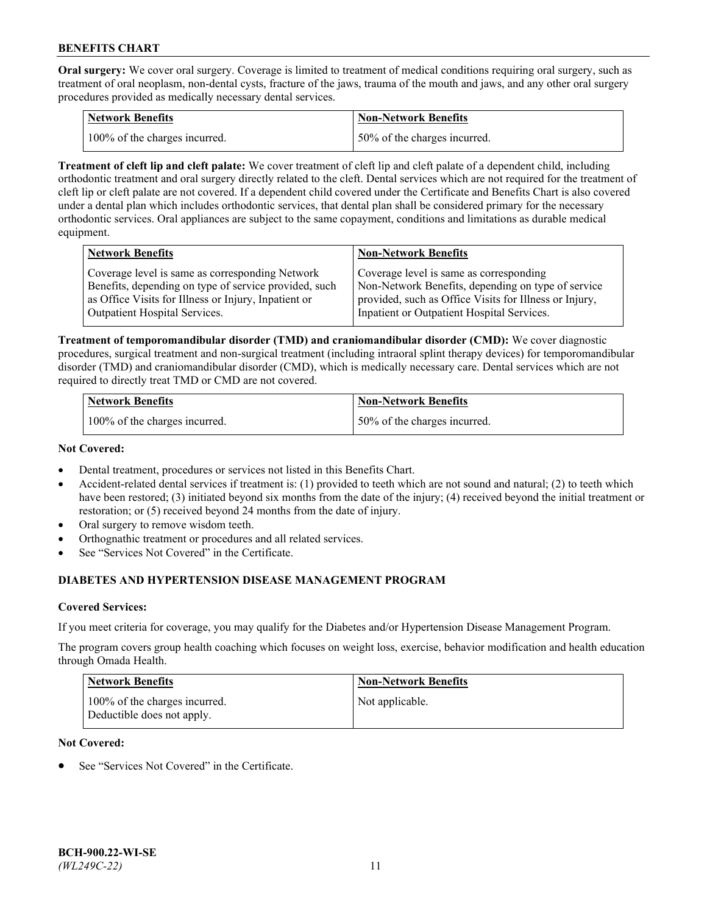**Oral surgery:** We cover oral surgery. Coverage is limited to treatment of medical conditions requiring oral surgery, such as treatment of oral neoplasm, non-dental cysts, fracture of the jaws, trauma of the mouth and jaws, and any other oral surgery procedures provided as medically necessary dental services.

| <b>Network Benefits</b>       | <b>Non-Network Benefits</b>  |
|-------------------------------|------------------------------|
| 100% of the charges incurred. | 50% of the charges incurred. |

**Treatment of cleft lip and cleft palate:** We cover treatment of cleft lip and cleft palate of a dependent child, including orthodontic treatment and oral surgery directly related to the cleft. Dental services which are not required for the treatment of cleft lip or cleft palate are not covered. If a dependent child covered under the Certificate and Benefits Chart is also covered under a dental plan which includes orthodontic services, that dental plan shall be considered primary for the necessary orthodontic services. Oral appliances are subject to the same copayment, conditions and limitations as durable medical equipment.

| <b>Network Benefits</b>                               | <b>Non-Network Benefits</b>                            |
|-------------------------------------------------------|--------------------------------------------------------|
| Coverage level is same as corresponding Network       | Coverage level is same as corresponding                |
| Benefits, depending on type of service provided, such | Non-Network Benefits, depending on type of service     |
| as Office Visits for Illness or Injury, Inpatient or  | provided, such as Office Visits for Illness or Injury, |
| Outpatient Hospital Services.                         | Inpatient or Outpatient Hospital Services.             |

**Treatment of temporomandibular disorder (TMD) and craniomandibular disorder (CMD):** We cover diagnostic procedures, surgical treatment and non-surgical treatment (including intraoral splint therapy devices) for temporomandibular disorder (TMD) and craniomandibular disorder (CMD), which is medically necessary care. Dental services which are not required to directly treat TMD or CMD are not covered.

| <b>Network Benefits</b>       | <b>Non-Network Benefits</b>  |
|-------------------------------|------------------------------|
| 100% of the charges incurred. | 50% of the charges incurred. |

### **Not Covered:**

- Dental treatment, procedures or services not listed in this Benefits Chart.
- Accident-related dental services if treatment is: (1) provided to teeth which are not sound and natural; (2) to teeth which have been restored; (3) initiated beyond six months from the date of the injury; (4) received beyond the initial treatment or restoration; or (5) received beyond 24 months from the date of injury.
- Oral surgery to remove wisdom teeth.
- Orthognathic treatment or procedures and all related services.
- See "Services Not Covered" in the Certificate.

# **DIABETES AND HYPERTENSION DISEASE MANAGEMENT PROGRAM**

## **Covered Services:**

If you meet criteria for coverage, you may qualify for the Diabetes and/or Hypertension Disease Management Program.

The program covers group health coaching which focuses on weight loss, exercise, behavior modification and health education through Omada Health.

| <b>Network Benefits</b>                                     | <b>Non-Network Benefits</b> |
|-------------------------------------------------------------|-----------------------------|
| 100% of the charges incurred.<br>Deductible does not apply. | Not applicable.             |

## **Not Covered:**

See "Services Not Covered" in the Certificate.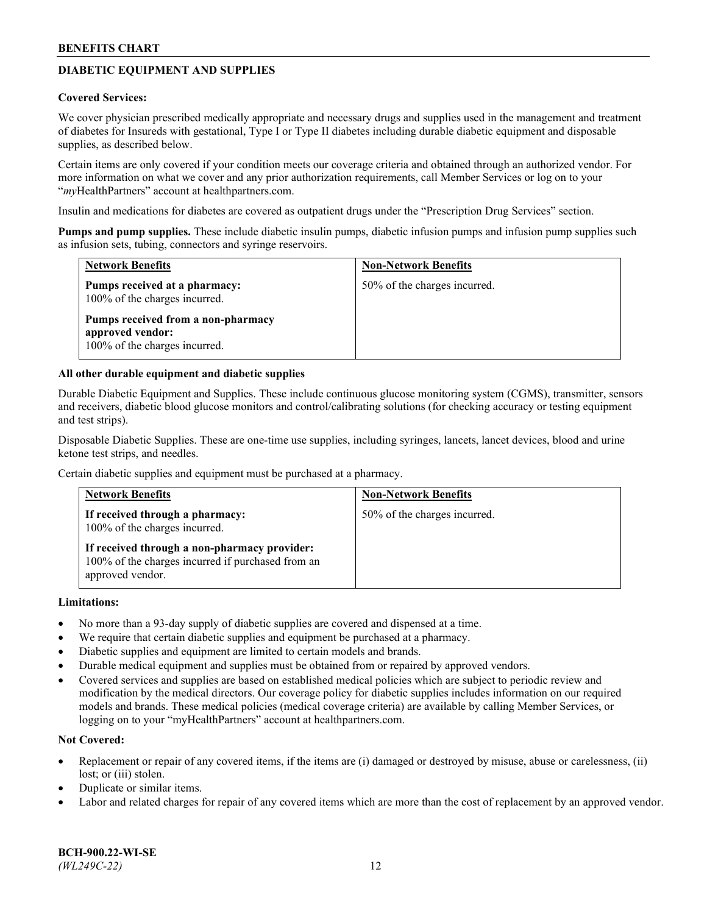# **DIABETIC EQUIPMENT AND SUPPLIES**

#### **Covered Services:**

We cover physician prescribed medically appropriate and necessary drugs and supplies used in the management and treatment of diabetes for Insureds with gestational, Type I or Type II diabetes including durable diabetic equipment and disposable supplies, as described below.

Certain items are only covered if your condition meets our coverage criteria and obtained through an authorized vendor. For more information on what we cover and any prior authorization requirements, call Member Services or log on to your "*my*HealthPartners" account at [healthpartners.com.](http://www.healthpartners.com/)

Insulin and medications for diabetes are covered as outpatient drugs under the "Prescription Drug Services" section.

**Pumps and pump supplies.** These include diabetic insulin pumps, diabetic infusion pumps and infusion pump supplies such as infusion sets, tubing, connectors and syringe reservoirs.

| <b>Network Benefits</b>                                                                 | <b>Non-Network Benefits</b>  |
|-----------------------------------------------------------------------------------------|------------------------------|
| Pumps received at a pharmacy:<br>100% of the charges incurred.                          | 50% of the charges incurred. |
| Pumps received from a non-pharmacy<br>approved vendor:<br>100% of the charges incurred. |                              |

### **All other durable equipment and diabetic supplies**

Durable Diabetic Equipment and Supplies. These include continuous glucose monitoring system (CGMS), transmitter, sensors and receivers, diabetic blood glucose monitors and control/calibrating solutions (for checking accuracy or testing equipment and test strips).

Disposable Diabetic Supplies. These are one-time use supplies, including syringes, lancets, lancet devices, blood and urine ketone test strips, and needles.

Certain diabetic supplies and equipment must be purchased at a pharmacy.

| <b>Network Benefits</b>                                                                                               | <b>Non-Network Benefits</b>  |
|-----------------------------------------------------------------------------------------------------------------------|------------------------------|
| If received through a pharmacy:<br>100% of the charges incurred.                                                      | 50% of the charges incurred. |
| If received through a non-pharmacy provider:<br>100% of the charges incurred if purchased from an<br>approved vendor. |                              |

#### **Limitations:**

- No more than a 93-day supply of diabetic supplies are covered and dispensed at a time.
- We require that certain diabetic supplies and equipment be purchased at a pharmacy.
- Diabetic supplies and equipment are limited to certain models and brands.
- Durable medical equipment and supplies must be obtained from or repaired by approved vendors.
- Covered services and supplies are based on established medical policies which are subject to periodic review and modification by the medical directors. Our coverage policy for diabetic supplies includes information on our required models and brands. These medical policies (medical coverage criteria) are available by calling Member Services, or logging on to your "myHealthPartners" account at [healthpartners.com.](http://www.healthpartners.com/)

#### **Not Covered:**

- Replacement or repair of any covered items, if the items are (i) damaged or destroyed by misuse, abuse or carelessness, (ii) lost; or (iii) stolen.
- Duplicate or similar items.
- Labor and related charges for repair of any covered items which are more than the cost of replacement by an approved vendor.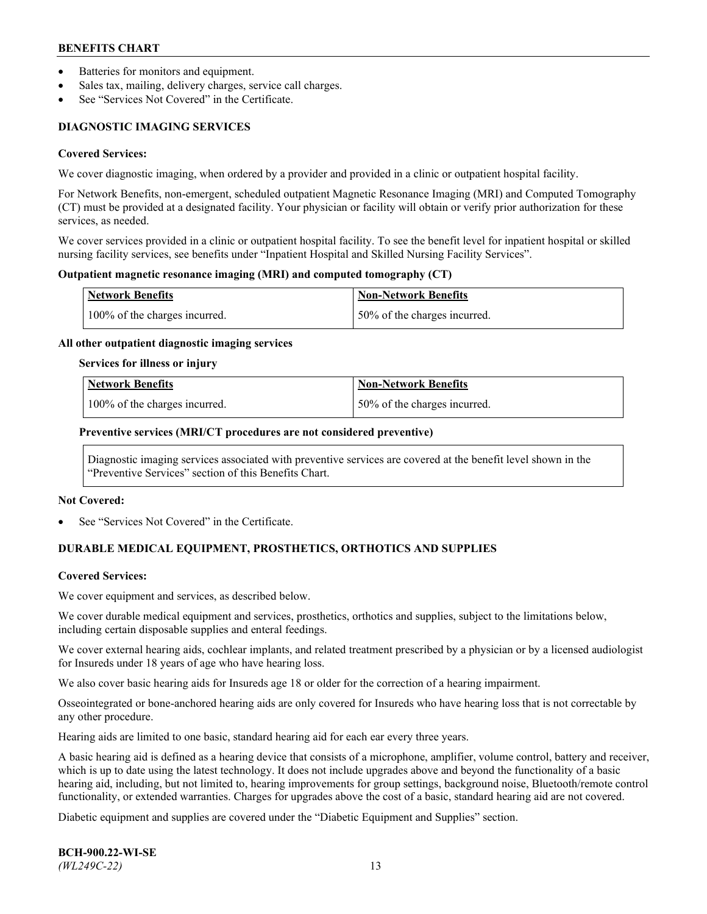- Batteries for monitors and equipment.
- Sales tax, mailing, delivery charges, service call charges.
- See "Services Not Covered" in the Certificate.

# **DIAGNOSTIC IMAGING SERVICES**

#### **Covered Services:**

We cover diagnostic imaging, when ordered by a provider and provided in a clinic or outpatient hospital facility.

For Network Benefits, non-emergent, scheduled outpatient Magnetic Resonance Imaging (MRI) and Computed Tomography (CT) must be provided at a designated facility. Your physician or facility will obtain or verify prior authorization for these services, as needed.

We cover services provided in a clinic or outpatient hospital facility. To see the benefit level for inpatient hospital or skilled nursing facility services, see benefits under "Inpatient Hospital and Skilled Nursing Facility Services".

### **Outpatient magnetic resonance imaging (MRI) and computed tomography (CT)**

| <b>Network Benefits</b>       | <b>Non-Network Benefits</b>  |
|-------------------------------|------------------------------|
| 100% of the charges incurred. | 50% of the charges incurred. |

### **All other outpatient diagnostic imaging services**

### **Services for illness or injury**

| Network Benefits              | <b>Non-Network Benefits</b>  |
|-------------------------------|------------------------------|
| 100% of the charges incurred. | 50% of the charges incurred. |

### **Preventive services (MRI/CT procedures are not considered preventive)**

Diagnostic imaging services associated with preventive services are covered at the benefit level shown in the "Preventive Services" section of this Benefits Chart.

#### **Not Covered:**

See "Services Not Covered" in the Certificate.

# **DURABLE MEDICAL EQUIPMENT, PROSTHETICS, ORTHOTICS AND SUPPLIES**

#### **Covered Services:**

We cover equipment and services, as described below.

We cover durable medical equipment and services, prosthetics, orthotics and supplies, subject to the limitations below, including certain disposable supplies and enteral feedings.

We cover external hearing aids, cochlear implants, and related treatment prescribed by a physician or by a licensed audiologist for Insureds under 18 years of age who have hearing loss.

We also cover basic hearing aids for Insureds age 18 or older for the correction of a hearing impairment.

Osseointegrated or bone-anchored hearing aids are only covered for Insureds who have hearing loss that is not correctable by any other procedure.

Hearing aids are limited to one basic, standard hearing aid for each ear every three years.

A basic hearing aid is defined as a hearing device that consists of a microphone, amplifier, volume control, battery and receiver, which is up to date using the latest technology. It does not include upgrades above and beyond the functionality of a basic hearing aid, including, but not limited to, hearing improvements for group settings, background noise, Bluetooth/remote control functionality, or extended warranties. Charges for upgrades above the cost of a basic, standard hearing aid are not covered.

Diabetic equipment and supplies are covered under the "Diabetic Equipment and Supplies" section.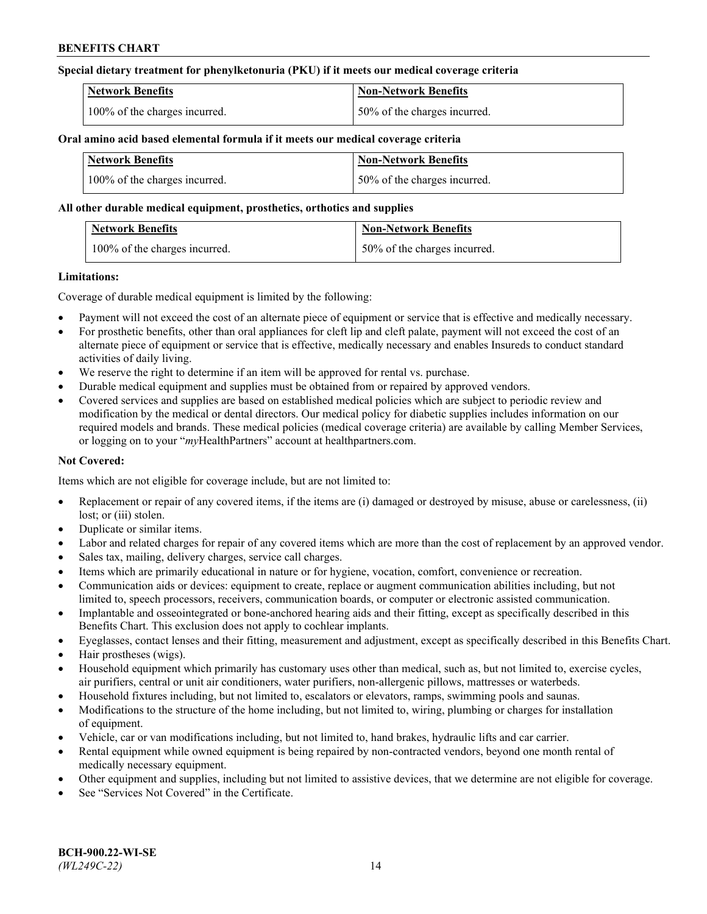## **Special dietary treatment for phenylketonuria (PKU) if it meets our medical coverage criteria**

| <b>Network Benefits</b>       | <b>Non-Network Benefits</b>  |
|-------------------------------|------------------------------|
| 100% of the charges incurred. | 50% of the charges incurred. |

### **Oral amino acid based elemental formula if it meets our medical coverage criteria**

| Network Benefits              | Non-Network Benefits         |
|-------------------------------|------------------------------|
| 100% of the charges incurred. | 50% of the charges incurred. |

### **All other durable medical equipment, prosthetics, orthotics and supplies**

| <b>Network Benefits</b>          | <b>Non-Network Benefits</b>  |
|----------------------------------|------------------------------|
| $100\%$ of the charges incurred. | 50% of the charges incurred. |

### **Limitations:**

Coverage of durable medical equipment is limited by the following:

- Payment will not exceed the cost of an alternate piece of equipment or service that is effective and medically necessary.
- For prosthetic benefits, other than oral appliances for cleft lip and cleft palate, payment will not exceed the cost of an alternate piece of equipment or service that is effective, medically necessary and enables Insureds to conduct standard activities of daily living.
- We reserve the right to determine if an item will be approved for rental vs. purchase.
- Durable medical equipment and supplies must be obtained from or repaired by approved vendors.
- Covered services and supplies are based on established medical policies which are subject to periodic review and modification by the medical or dental directors. Our medical policy for diabetic supplies includes information on our required models and brands. These medical policies (medical coverage criteria) are available by calling Member Services, or logging on to your "*my*HealthPartners" account a[t healthpartners.com.](http://www.healthpartners.com/)

## **Not Covered:**

Items which are not eligible for coverage include, but are not limited to:

- Replacement or repair of any covered items, if the items are (i) damaged or destroyed by misuse, abuse or carelessness, (ii) lost; or (iii) stolen.
- Duplicate or similar items.
- Labor and related charges for repair of any covered items which are more than the cost of replacement by an approved vendor.
- Sales tax, mailing, delivery charges, service call charges.
- Items which are primarily educational in nature or for hygiene, vocation, comfort, convenience or recreation.
- Communication aids or devices: equipment to create, replace or augment communication abilities including, but not limited to, speech processors, receivers, communication boards, or computer or electronic assisted communication.
- Implantable and osseointegrated or bone-anchored hearing aids and their fitting, except as specifically described in this Benefits Chart. This exclusion does not apply to cochlear implants.
- Eyeglasses, contact lenses and their fitting, measurement and adjustment, except as specifically described in this Benefits Chart.
- Hair prostheses (wigs).
- Household equipment which primarily has customary uses other than medical, such as, but not limited to, exercise cycles, air purifiers, central or unit air conditioners, water purifiers, non-allergenic pillows, mattresses or waterbeds.
- Household fixtures including, but not limited to, escalators or elevators, ramps, swimming pools and saunas.
- Modifications to the structure of the home including, but not limited to, wiring, plumbing or charges for installation of equipment.
- Vehicle, car or van modifications including, but not limited to, hand brakes, hydraulic lifts and car carrier.
- Rental equipment while owned equipment is being repaired by non-contracted vendors, beyond one month rental of medically necessary equipment.
- Other equipment and supplies, including but not limited to assistive devices, that we determine are not eligible for coverage.
- See "Services Not Covered" in the Certificate.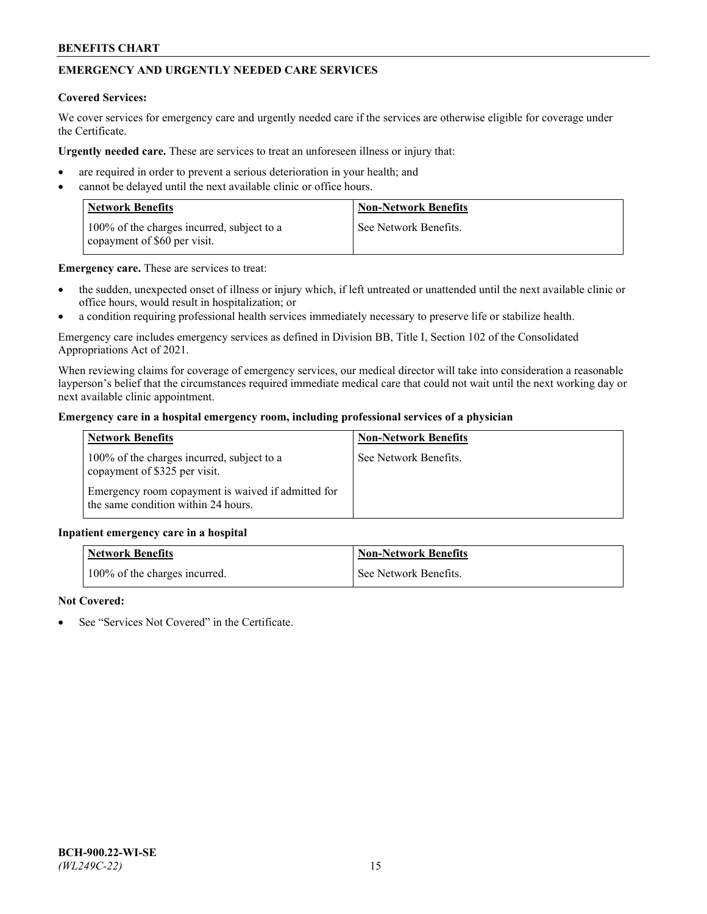# **EMERGENCY AND URGENTLY NEEDED CARE SERVICES**

### **Covered Services:**

We cover services for emergency care and urgently needed care if the services are otherwise eligible for coverage under the Certificate.

**Urgently needed care.** These are services to treat an unforeseen illness or injury that:

- are required in order to prevent a serious deterioration in your health; and
- cannot be delayed until the next available clinic or office hours.

| <b>Network Benefits</b>                                                    | <b>Non-Network Benefits</b> |
|----------------------------------------------------------------------------|-----------------------------|
| 100% of the charges incurred, subject to a<br>copayment of \$60 per visit. | See Network Benefits.       |

**Emergency care.** These are services to treat:

- the sudden, unexpected onset of illness or injury which, if left untreated or unattended until the next available clinic or office hours, would result in hospitalization; or
- a condition requiring professional health services immediately necessary to preserve life or stabilize health.

Emergency care includes emergency services as defined in Division BB, Title I, Section 102 of the Consolidated Appropriations Act of 2021.

When reviewing claims for coverage of emergency services, our medical director will take into consideration a reasonable layperson's belief that the circumstances required immediate medical care that could not wait until the next working day or next available clinic appointment.

### **Emergency care in a hospital emergency room, including professional services of a physician**

| <b>Network Benefits</b>                                                                   | <b>Non-Network Benefits</b> |
|-------------------------------------------------------------------------------------------|-----------------------------|
| 100% of the charges incurred, subject to a<br>copayment of \$325 per visit.               | See Network Benefits.       |
| Emergency room copayment is waived if admitted for<br>the same condition within 24 hours. |                             |

#### **Inpatient emergency care in a hospital**

| <b>Network Benefits</b>       | <b>Non-Network Benefits</b> |
|-------------------------------|-----------------------------|
| 100% of the charges incurred. | See Network Benefits.       |

## **Not Covered:**

See "Services Not Covered" in the Certificate.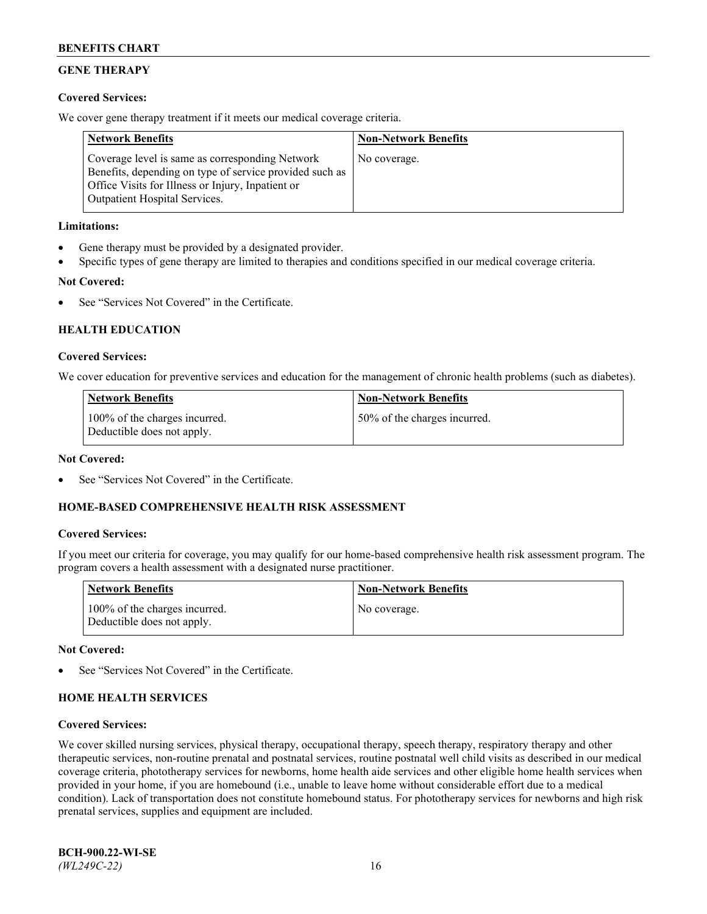# **GENE THERAPY**

## **Covered Services:**

We cover gene therapy treatment if it meets our medical coverage criteria.

| <b>Network Benefits</b>                                                                                                                                                                                 | <b>Non-Network Benefits</b> |
|---------------------------------------------------------------------------------------------------------------------------------------------------------------------------------------------------------|-----------------------------|
| Coverage level is same as corresponding Network<br>Benefits, depending on type of service provided such as<br>Office Visits for Illness or Injury, Inpatient or<br><b>Outpatient Hospital Services.</b> | No coverage.                |

## **Limitations:**

- Gene therapy must be provided by a designated provider.
- Specific types of gene therapy are limited to therapies and conditions specified in our medical coverage criteria.

## **Not Covered:**

See "Services Not Covered" in the Certificate.

## **HEALTH EDUCATION**

### **Covered Services:**

We cover education for preventive services and education for the management of chronic health problems (such as diabetes).

| Network Benefits                                            | <b>Non-Network Benefits</b>  |
|-------------------------------------------------------------|------------------------------|
| 100% of the charges incurred.<br>Deductible does not apply. | 50% of the charges incurred. |

## **Not Covered:**

See "Services Not Covered" in the Certificate.

## **HOME-BASED COMPREHENSIVE HEALTH RISK ASSESSMENT**

## **Covered Services:**

If you meet our criteria for coverage, you may qualify for our home-based comprehensive health risk assessment program. The program covers a health assessment with a designated nurse practitioner.

| <b>Network Benefits</b>                                     | <b>Non-Network Benefits</b> |
|-------------------------------------------------------------|-----------------------------|
| 100% of the charges incurred.<br>Deductible does not apply. | No coverage.                |

## **Not Covered:**

See "Services Not Covered" in the Certificate.

# **HOME HEALTH SERVICES**

## **Covered Services:**

We cover skilled nursing services, physical therapy, occupational therapy, speech therapy, respiratory therapy and other therapeutic services, non-routine prenatal and postnatal services, routine postnatal well child visits as described in our medical coverage criteria, phototherapy services for newborns, home health aide services and other eligible home health services when provided in your home, if you are homebound (i.e., unable to leave home without considerable effort due to a medical condition). Lack of transportation does not constitute homebound status. For phototherapy services for newborns and high risk prenatal services, supplies and equipment are included.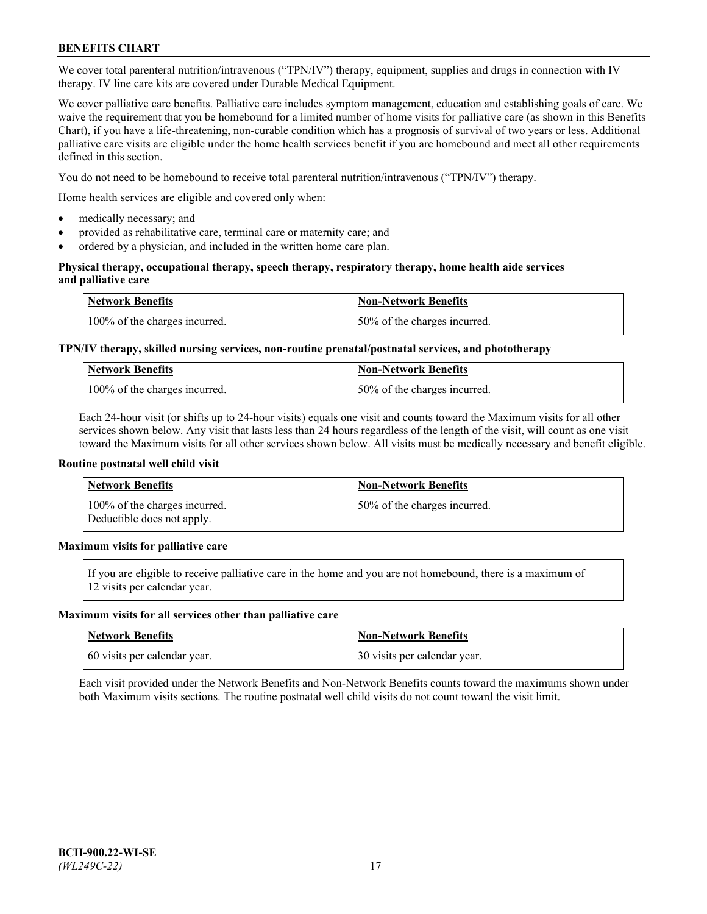We cover total parenteral nutrition/intravenous ("TPN/IV") therapy, equipment, supplies and drugs in connection with IV therapy. IV line care kits are covered under Durable Medical Equipment.

We cover palliative care benefits. Palliative care includes symptom management, education and establishing goals of care. We waive the requirement that you be homebound for a limited number of home visits for palliative care (as shown in this Benefits Chart), if you have a life-threatening, non-curable condition which has a prognosis of survival of two years or less. Additional palliative care visits are eligible under the home health services benefit if you are homebound and meet all other requirements defined in this section.

You do not need to be homebound to receive total parenteral nutrition/intravenous ("TPN/IV") therapy.

Home health services are eligible and covered only when:

- medically necessary; and
- provided as rehabilitative care, terminal care or maternity care; and
- ordered by a physician, and included in the written home care plan.

## **Physical therapy, occupational therapy, speech therapy, respiratory therapy, home health aide services and palliative care**

| Network Benefits              | <b>Non-Network Benefits</b>  |
|-------------------------------|------------------------------|
| 100% of the charges incurred. | 50% of the charges incurred. |

# **TPN/IV therapy, skilled nursing services, non-routine prenatal/postnatal services, and phototherapy**

| <b>Network Benefits</b>       | <b>Non-Network Benefits</b>  |
|-------------------------------|------------------------------|
| 100% of the charges incurred. | 50% of the charges incurred. |

Each 24-hour visit (or shifts up to 24-hour visits) equals one visit and counts toward the Maximum visits for all other services shown below. Any visit that lasts less than 24 hours regardless of the length of the visit, will count as one visit toward the Maximum visits for all other services shown below. All visits must be medically necessary and benefit eligible.

#### **Routine postnatal well child visit**

| Network Benefits                                            | <b>Non-Network Benefits</b>  |
|-------------------------------------------------------------|------------------------------|
| 100% of the charges incurred.<br>Deductible does not apply. | 50% of the charges incurred. |

## **Maximum visits for palliative care**

If you are eligible to receive palliative care in the home and you are not homebound, there is a maximum of 12 visits per calendar year.

#### **Maximum visits for all services other than palliative care**

| Network Benefits             | <b>Non-Network Benefits</b>  |
|------------------------------|------------------------------|
| 60 visits per calendar year. | 30 visits per calendar year. |

Each visit provided under the Network Benefits and Non-Network Benefits counts toward the maximums shown under both Maximum visits sections. The routine postnatal well child visits do not count toward the visit limit.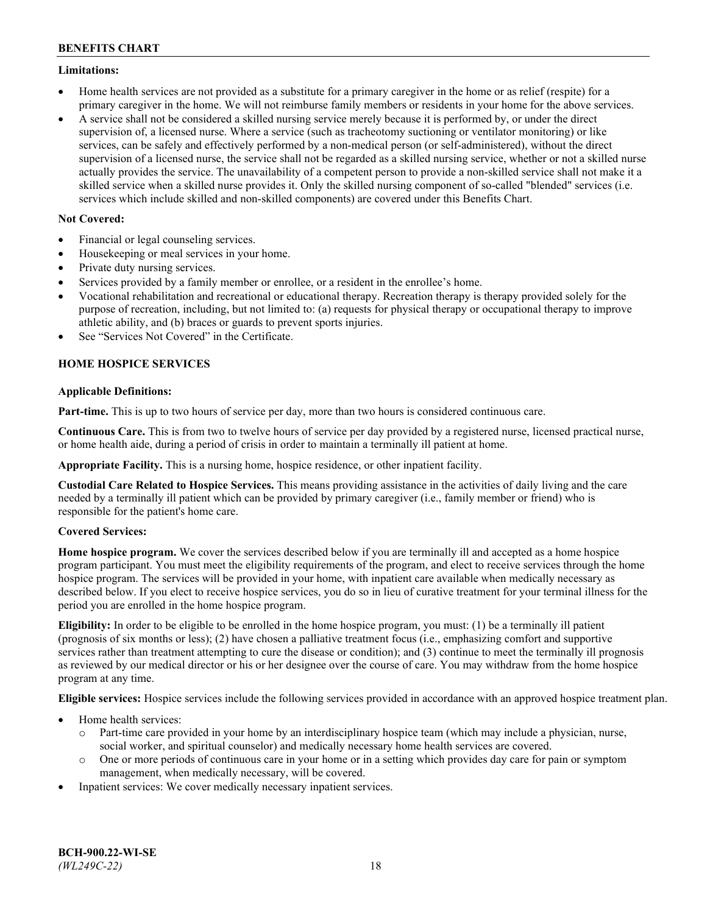## **Limitations:**

- Home health services are not provided as a substitute for a primary caregiver in the home or as relief (respite) for a primary caregiver in the home. We will not reimburse family members or residents in your home for the above services.
- A service shall not be considered a skilled nursing service merely because it is performed by, or under the direct supervision of, a licensed nurse. Where a service (such as tracheotomy suctioning or ventilator monitoring) or like services, can be safely and effectively performed by a non-medical person (or self-administered), without the direct supervision of a licensed nurse, the service shall not be regarded as a skilled nursing service, whether or not a skilled nurse actually provides the service. The unavailability of a competent person to provide a non-skilled service shall not make it a skilled service when a skilled nurse provides it. Only the skilled nursing component of so-called "blended" services (i.e. services which include skilled and non-skilled components) are covered under this Benefits Chart.

## **Not Covered:**

- Financial or legal counseling services.
- Housekeeping or meal services in your home.
- Private duty nursing services.
- Services provided by a family member or enrollee, or a resident in the enrollee's home.
- Vocational rehabilitation and recreational or educational therapy. Recreation therapy is therapy provided solely for the purpose of recreation, including, but not limited to: (a) requests for physical therapy or occupational therapy to improve athletic ability, and (b) braces or guards to prevent sports injuries.
- See "Services Not Covered" in the Certificate.

## **HOME HOSPICE SERVICES**

## **Applicable Definitions:**

**Part-time.** This is up to two hours of service per day, more than two hours is considered continuous care.

**Continuous Care.** This is from two to twelve hours of service per day provided by a registered nurse, licensed practical nurse, or home health aide, during a period of crisis in order to maintain a terminally ill patient at home.

**Appropriate Facility.** This is a nursing home, hospice residence, or other inpatient facility.

**Custodial Care Related to Hospice Services.** This means providing assistance in the activities of daily living and the care needed by a terminally ill patient which can be provided by primary caregiver (i.e., family member or friend) who is responsible for the patient's home care.

## **Covered Services:**

**Home hospice program.** We cover the services described below if you are terminally ill and accepted as a home hospice program participant. You must meet the eligibility requirements of the program, and elect to receive services through the home hospice program. The services will be provided in your home, with inpatient care available when medically necessary as described below. If you elect to receive hospice services, you do so in lieu of curative treatment for your terminal illness for the period you are enrolled in the home hospice program.

**Eligibility:** In order to be eligible to be enrolled in the home hospice program, you must: (1) be a terminally ill patient (prognosis of six months or less); (2) have chosen a palliative treatment focus (i.e., emphasizing comfort and supportive services rather than treatment attempting to cure the disease or condition); and (3) continue to meet the terminally ill prognosis as reviewed by our medical director or his or her designee over the course of care. You may withdraw from the home hospice program at any time.

**Eligible services:** Hospice services include the following services provided in accordance with an approved hospice treatment plan.

- Home health services:
	- o Part-time care provided in your home by an interdisciplinary hospice team (which may include a physician, nurse, social worker, and spiritual counselor) and medically necessary home health services are covered.
	- o One or more periods of continuous care in your home or in a setting which provides day care for pain or symptom management, when medically necessary, will be covered.
- Inpatient services: We cover medically necessary inpatient services.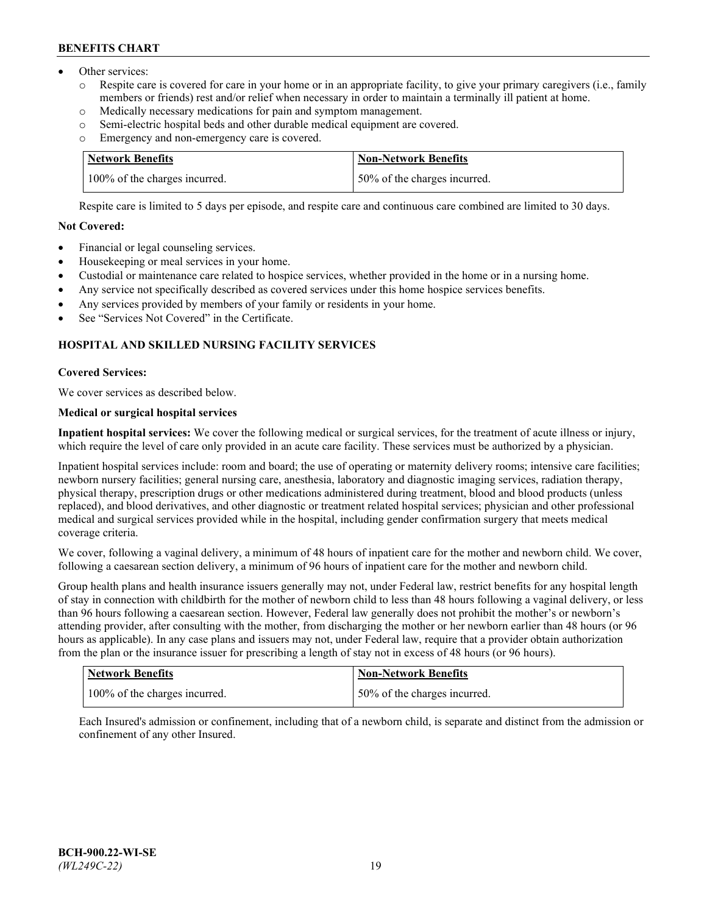- Other services:
	- Respite care is covered for care in your home or in an appropriate facility, to give your primary caregivers (i.e., family members or friends) rest and/or relief when necessary in order to maintain a terminally ill patient at home.
	- o Medically necessary medications for pain and symptom management.
	- $\circ$  Semi-electric hospital beds and other durable medical equipment are covered.<br> $\circ$  Emergency and non-emergency care is covered.
	- Emergency and non-emergency care is covered.

| Network Benefits              | Non-Network Benefits         |
|-------------------------------|------------------------------|
| 100% of the charges incurred. | 50% of the charges incurred. |

Respite care is limited to 5 days per episode, and respite care and continuous care combined are limited to 30 days.

## **Not Covered:**

- Financial or legal counseling services.
- Housekeeping or meal services in your home.
- Custodial or maintenance care related to hospice services, whether provided in the home or in a nursing home.
- Any service not specifically described as covered services under this home hospice services benefits.
- Any services provided by members of your family or residents in your home.
- See "Services Not Covered" in the Certificate.

# **HOSPITAL AND SKILLED NURSING FACILITY SERVICES**

## **Covered Services:**

We cover services as described below.

# **Medical or surgical hospital services**

**Inpatient hospital services:** We cover the following medical or surgical services, for the treatment of acute illness or injury, which require the level of care only provided in an acute care facility. These services must be authorized by a physician.

Inpatient hospital services include: room and board; the use of operating or maternity delivery rooms; intensive care facilities; newborn nursery facilities; general nursing care, anesthesia, laboratory and diagnostic imaging services, radiation therapy, physical therapy, prescription drugs or other medications administered during treatment, blood and blood products (unless replaced), and blood derivatives, and other diagnostic or treatment related hospital services; physician and other professional medical and surgical services provided while in the hospital, including gender confirmation surgery that meets medical coverage criteria.

We cover, following a vaginal delivery, a minimum of 48 hours of inpatient care for the mother and newborn child. We cover, following a caesarean section delivery, a minimum of 96 hours of inpatient care for the mother and newborn child.

Group health plans and health insurance issuers generally may not, under Federal law, restrict benefits for any hospital length of stay in connection with childbirth for the mother of newborn child to less than 48 hours following a vaginal delivery, or less than 96 hours following a caesarean section. However, Federal law generally does not prohibit the mother's or newborn's attending provider, after consulting with the mother, from discharging the mother or her newborn earlier than 48 hours (or 96 hours as applicable). In any case plans and issuers may not, under Federal law, require that a provider obtain authorization from the plan or the insurance issuer for prescribing a length of stay not in excess of 48 hours (or 96 hours).

| Network Benefits              | <b>Non-Network Benefits</b>  |
|-------------------------------|------------------------------|
| 100% of the charges incurred. | 50% of the charges incurred. |

Each Insured's admission or confinement, including that of a newborn child, is separate and distinct from the admission or confinement of any other Insured.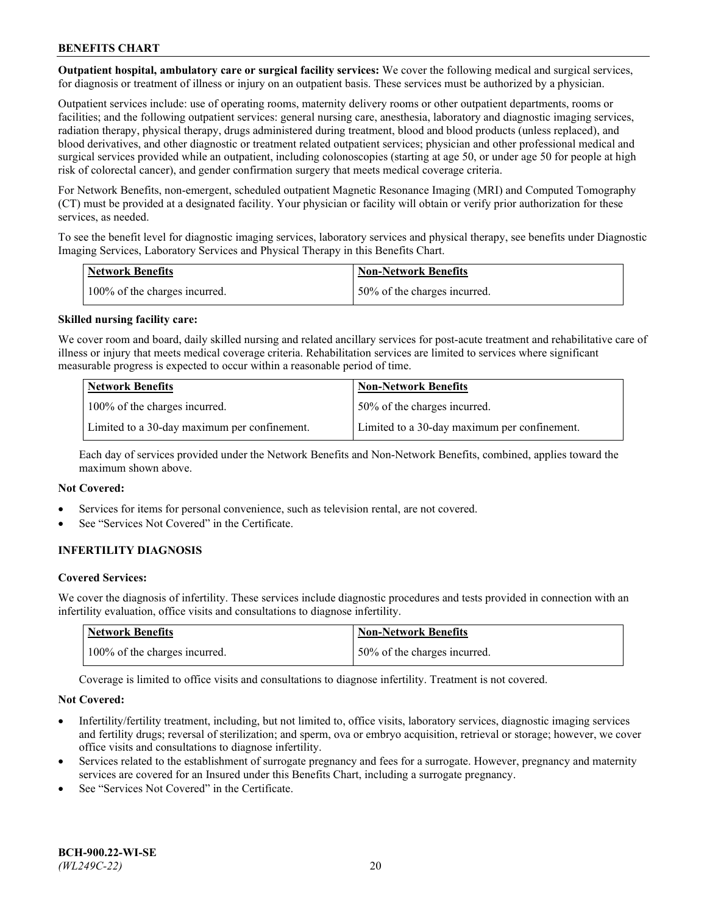**Outpatient hospital, ambulatory care or surgical facility services:** We cover the following medical and surgical services, for diagnosis or treatment of illness or injury on an outpatient basis. These services must be authorized by a physician.

Outpatient services include: use of operating rooms, maternity delivery rooms or other outpatient departments, rooms or facilities; and the following outpatient services: general nursing care, anesthesia, laboratory and diagnostic imaging services, radiation therapy, physical therapy, drugs administered during treatment, blood and blood products (unless replaced), and blood derivatives, and other diagnostic or treatment related outpatient services; physician and other professional medical and surgical services provided while an outpatient, including colonoscopies (starting at age 50, or under age 50 for people at high risk of colorectal cancer), and gender confirmation surgery that meets medical coverage criteria.

For Network Benefits, non-emergent, scheduled outpatient Magnetic Resonance Imaging (MRI) and Computed Tomography (CT) must be provided at a designated facility. Your physician or facility will obtain or verify prior authorization for these services, as needed.

To see the benefit level for diagnostic imaging services, laboratory services and physical therapy, see benefits under Diagnostic Imaging Services, Laboratory Services and Physical Therapy in this Benefits Chart.

| <b>Network Benefits</b>       | <b>Non-Network Benefits</b>  |
|-------------------------------|------------------------------|
| 100% of the charges incurred. | 50% of the charges incurred. |

### **Skilled nursing facility care:**

We cover room and board, daily skilled nursing and related ancillary services for post-acute treatment and rehabilitative care of illness or injury that meets medical coverage criteria. Rehabilitation services are limited to services where significant measurable progress is expected to occur within a reasonable period of time.

| <b>Network Benefits</b>                      | <b>Non-Network Benefits</b>                  |
|----------------------------------------------|----------------------------------------------|
| 100% of the charges incurred.                | 50% of the charges incurred.                 |
| Limited to a 30-day maximum per confinement. | Limited to a 30-day maximum per confinement. |

Each day of services provided under the Network Benefits and Non-Network Benefits, combined, applies toward the maximum shown above.

#### **Not Covered:**

- Services for items for personal convenience, such as television rental, are not covered.
- See "Services Not Covered" in the Certificate.

## **INFERTILITY DIAGNOSIS**

#### **Covered Services:**

We cover the diagnosis of infertility. These services include diagnostic procedures and tests provided in connection with an infertility evaluation, office visits and consultations to diagnose infertility.

| <b>Network Benefits</b>       | <b>Non-Network Benefits</b>   |
|-------------------------------|-------------------------------|
| 100% of the charges incurred. | 150% of the charges incurred. |

Coverage is limited to office visits and consultations to diagnose infertility. Treatment is not covered.

#### **Not Covered:**

- Infertility/fertility treatment, including, but not limited to, office visits, laboratory services, diagnostic imaging services and fertility drugs; reversal of sterilization; and sperm, ova or embryo acquisition, retrieval or storage; however, we cover office visits and consultations to diagnose infertility.
- Services related to the establishment of surrogate pregnancy and fees for a surrogate. However, pregnancy and maternity services are covered for an Insured under this Benefits Chart, including a surrogate pregnancy.
- See "Services Not Covered" in the Certificate.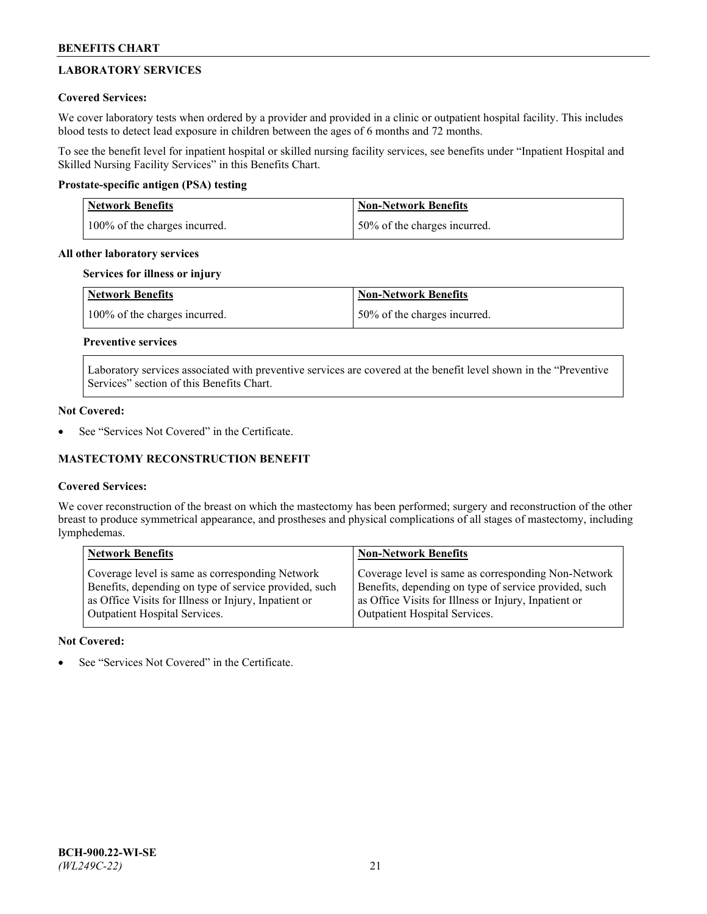# **LABORATORY SERVICES**

## **Covered Services:**

We cover laboratory tests when ordered by a provider and provided in a clinic or outpatient hospital facility. This includes blood tests to detect lead exposure in children between the ages of 6 months and 72 months.

To see the benefit level for inpatient hospital or skilled nursing facility services, see benefits under "Inpatient Hospital and Skilled Nursing Facility Services" in this Benefits Chart.

## **Prostate-specific antigen (PSA) testing**

| <b>Network Benefits</b>       | <b>Non-Network Benefits</b>  |
|-------------------------------|------------------------------|
| 100% of the charges incurred. | 50% of the charges incurred. |

## **All other laboratory services**

## **Services for illness or injury**

| Network Benefits              | <b>Non-Network Benefits</b>  |
|-------------------------------|------------------------------|
| 100% of the charges incurred. | 50% of the charges incurred. |

# **Preventive services**

Laboratory services associated with preventive services are covered at the benefit level shown in the "Preventive Services" section of this Benefits Chart.

### **Not Covered:**

See "Services Not Covered" in the Certificate.

## **MASTECTOMY RECONSTRUCTION BENEFIT**

## **Covered Services:**

We cover reconstruction of the breast on which the mastectomy has been performed; surgery and reconstruction of the other breast to produce symmetrical appearance, and prostheses and physical complications of all stages of mastectomy, including lymphedemas.

| <b>Network Benefits</b>                               | <b>Non-Network Benefits</b>                           |
|-------------------------------------------------------|-------------------------------------------------------|
| Coverage level is same as corresponding Network       | Coverage level is same as corresponding Non-Network   |
| Benefits, depending on type of service provided, such | Benefits, depending on type of service provided, such |
| as Office Visits for Illness or Injury, Inpatient or  | as Office Visits for Illness or Injury, Inpatient or  |
| Outpatient Hospital Services.                         | Outpatient Hospital Services.                         |

## **Not Covered:**

See "Services Not Covered" in the Certificate.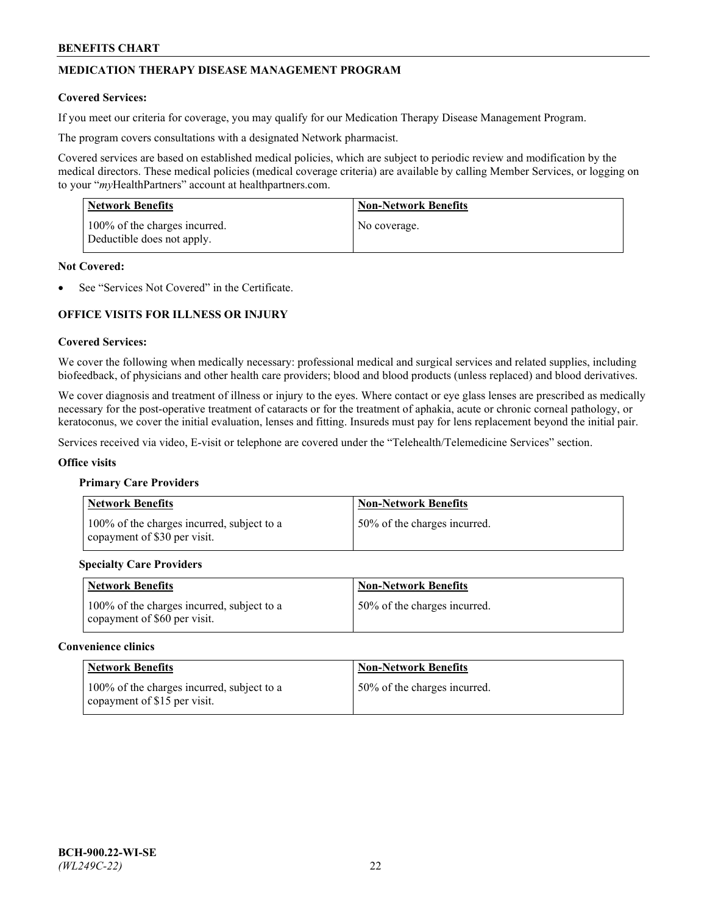# **MEDICATION THERAPY DISEASE MANAGEMENT PROGRAM**

### **Covered Services:**

If you meet our criteria for coverage, you may qualify for our Medication Therapy Disease Management Program.

The program covers consultations with a designated Network pharmacist.

Covered services are based on established medical policies, which are subject to periodic review and modification by the medical directors. These medical policies (medical coverage criteria) are available by calling Member Services, or logging on to your "*my*HealthPartners" account at [healthpartners.com.](http://www.healthpartners.com/)

| Network Benefits                                            | <b>Non-Network Benefits</b> |
|-------------------------------------------------------------|-----------------------------|
| 100% of the charges incurred.<br>Deductible does not apply. | No coverage.                |

### **Not Covered:**

See "Services Not Covered" in the Certificate.

## **OFFICE VISITS FOR ILLNESS OR INJURY**

### **Covered Services:**

We cover the following when medically necessary: professional medical and surgical services and related supplies, including biofeedback, of physicians and other health care providers; blood and blood products (unless replaced) and blood derivatives.

We cover diagnosis and treatment of illness or injury to the eyes. Where contact or eye glass lenses are prescribed as medically necessary for the post-operative treatment of cataracts or for the treatment of aphakia, acute or chronic corneal pathology, or keratoconus, we cover the initial evaluation, lenses and fitting. Insureds must pay for lens replacement beyond the initial pair.

Services received via video, E-visit or telephone are covered under the "Telehealth/Telemedicine Services" section.

#### **Office visits**

#### **Primary Care Providers**

| <b>Network Benefits</b>                                                    | <b>Non-Network Benefits</b>  |
|----------------------------------------------------------------------------|------------------------------|
| 100% of the charges incurred, subject to a<br>copayment of \$30 per visit. | 50% of the charges incurred. |

## **Specialty Care Providers**

| <b>Network Benefits</b>                                                    | <b>Non-Network Benefits</b>  |
|----------------------------------------------------------------------------|------------------------------|
| 100% of the charges incurred, subject to a<br>copayment of \$60 per visit. | 50% of the charges incurred. |

### **Convenience clinics**

| <b>Network Benefits</b>                                                     | <b>Non-Network Benefits</b>  |
|-----------------------------------------------------------------------------|------------------------------|
| 100% of the charges incurred, subject to a<br>copayment of $$15$ per visit. | 50% of the charges incurred. |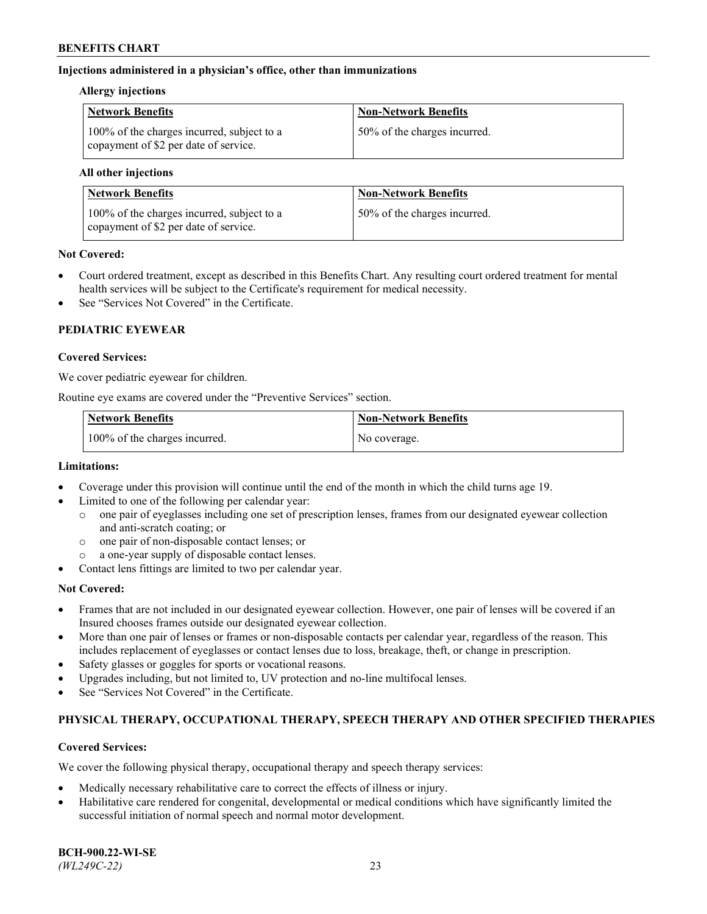## **Injections administered in a physician's office, other than immunizations**

### **Allergy injections**

| <b>Network Benefits</b>                                                             | <b>Non-Network Benefits</b>  |
|-------------------------------------------------------------------------------------|------------------------------|
| 100% of the charges incurred, subject to a<br>copayment of \$2 per date of service. | 50% of the charges incurred. |

### **All other injections**

| Network Benefits                                                                    | <b>Non-Network Benefits</b>  |
|-------------------------------------------------------------------------------------|------------------------------|
| 100% of the charges incurred, subject to a<br>copayment of \$2 per date of service. | 50% of the charges incurred. |

## **Not Covered:**

- Court ordered treatment, except as described in this Benefits Chart. Any resulting court ordered treatment for mental health services will be subject to the Certificate's requirement for medical necessity.
- See "Services Not Covered" in the Certificate.

# **PEDIATRIC EYEWEAR**

### **Covered Services:**

We cover pediatric eyewear for children.

Routine eye exams are covered under the "Preventive Services" section.

| <b>Network Benefits</b>       | <b>Non-Network Benefits</b> |
|-------------------------------|-----------------------------|
| 100% of the charges incurred. | No coverage.                |

## **Limitations:**

- Coverage under this provision will continue until the end of the month in which the child turns age 19.
- Limited to one of the following per calendar year:
	- o one pair of eyeglasses including one set of prescription lenses, frames from our designated eyewear collection and anti-scratch coating; or
	- o one pair of non-disposable contact lenses; or
	- o a one-year supply of disposable contact lenses.
- Contact lens fittings are limited to two per calendar year.

## **Not Covered:**

- Frames that are not included in our designated eyewear collection. However, one pair of lenses will be covered if an Insured chooses frames outside our designated eyewear collection.
- More than one pair of lenses or frames or non-disposable contacts per calendar year, regardless of the reason. This includes replacement of eyeglasses or contact lenses due to loss, breakage, theft, or change in prescription.
- Safety glasses or goggles for sports or vocational reasons.
- Upgrades including, but not limited to, UV protection and no-line multifocal lenses.
- See "Services Not Covered" in the Certificate.

## **PHYSICAL THERAPY, OCCUPATIONAL THERAPY, SPEECH THERAPY AND OTHER SPECIFIED THERAPIES**

## **Covered Services:**

We cover the following physical therapy, occupational therapy and speech therapy services:

- Medically necessary rehabilitative care to correct the effects of illness or injury.
- Habilitative care rendered for congenital, developmental or medical conditions which have significantly limited the successful initiation of normal speech and normal motor development.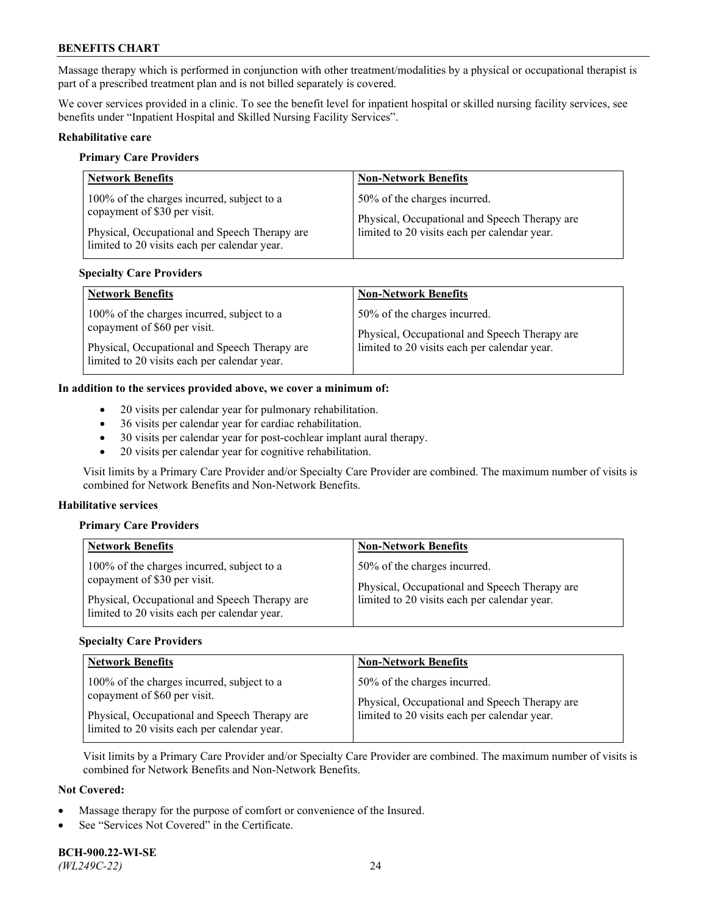Massage therapy which is performed in conjunction with other treatment/modalities by a physical or occupational therapist is part of a prescribed treatment plan and is not billed separately is covered.

We cover services provided in a clinic. To see the benefit level for inpatient hospital or skilled nursing facility services, see benefits under "Inpatient Hospital and Skilled Nursing Facility Services".

### **Rehabilitative care**

#### **Primary Care Providers**

| <b>Network Benefits</b>                                                                                                                                                     | <b>Non-Network Benefits</b>                                                                                                   |
|-----------------------------------------------------------------------------------------------------------------------------------------------------------------------------|-------------------------------------------------------------------------------------------------------------------------------|
| 100% of the charges incurred, subject to a<br>copayment of \$30 per visit.<br>Physical, Occupational and Speech Therapy are<br>limited to 20 visits each per calendar year. | 50% of the charges incurred.<br>Physical, Occupational and Speech Therapy are<br>limited to 20 visits each per calendar year. |

### **Specialty Care Providers**

| <b>Network Benefits</b>                       | <b>Non-Network Benefits</b>                   |
|-----------------------------------------------|-----------------------------------------------|
| 100% of the charges incurred, subject to a    | 50% of the charges incurred.                  |
| copayment of \$60 per visit.                  | Physical, Occupational and Speech Therapy are |
| Physical, Occupational and Speech Therapy are | limited to 20 visits each per calendar year.  |
| limited to 20 visits each per calendar year.  |                                               |

### **In addition to the services provided above, we cover a minimum of:**

- 20 visits per calendar year for pulmonary rehabilitation.
- 36 visits per calendar year for cardiac rehabilitation.
- 30 visits per calendar year for post-cochlear implant aural therapy.
- 20 visits per calendar year for cognitive rehabilitation.

Visit limits by a Primary Care Provider and/or Specialty Care Provider are combined. The maximum number of visits is combined for Network Benefits and Non-Network Benefits.

#### **Habilitative services**

#### **Primary Care Providers**

| <b>Network Benefits</b>                                                                                                                                                     | <b>Non-Network Benefits</b>                                                                                                   |
|-----------------------------------------------------------------------------------------------------------------------------------------------------------------------------|-------------------------------------------------------------------------------------------------------------------------------|
| 100% of the charges incurred, subject to a<br>copayment of \$30 per visit.<br>Physical, Occupational and Speech Therapy are<br>limited to 20 visits each per calendar year. | 50% of the charges incurred.<br>Physical, Occupational and Speech Therapy are<br>limited to 20 visits each per calendar year. |

### **Specialty Care Providers**

| <b>Network Benefits</b>                                                                       | <b>Non-Network Benefits</b>                                                                   |
|-----------------------------------------------------------------------------------------------|-----------------------------------------------------------------------------------------------|
| 100% of the charges incurred, subject to a<br>copayment of \$60 per visit.                    | 50% of the charges incurred.                                                                  |
| Physical, Occupational and Speech Therapy are<br>limited to 20 visits each per calendar year. | Physical, Occupational and Speech Therapy are<br>limited to 20 visits each per calendar year. |

Visit limits by a Primary Care Provider and/or Specialty Care Provider are combined. The maximum number of visits is combined for Network Benefits and Non-Network Benefits.

### **Not Covered:**

- Massage therapy for the purpose of comfort or convenience of the Insured.
- See "Services Not Covered" in the Certificate.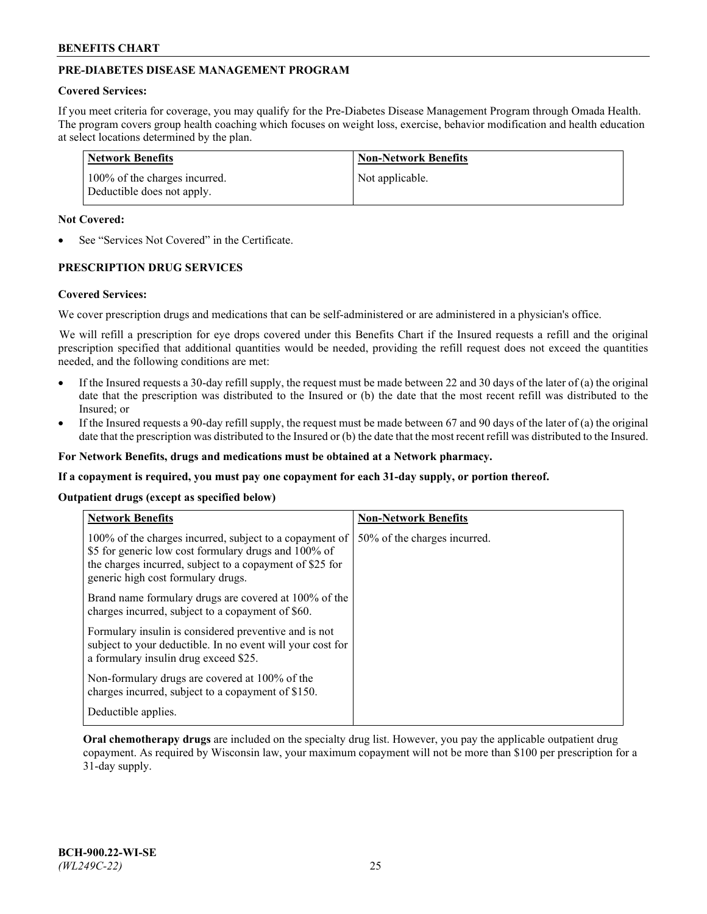# **PRE-DIABETES DISEASE MANAGEMENT PROGRAM**

#### **Covered Services:**

If you meet criteria for coverage, you may qualify for the Pre-Diabetes Disease Management Program through Omada Health. The program covers group health coaching which focuses on weight loss, exercise, behavior modification and health education at select locations determined by the plan.

| Network Benefits                                            | <b>Non-Network Benefits</b> |
|-------------------------------------------------------------|-----------------------------|
| 100% of the charges incurred.<br>Deductible does not apply. | Not applicable.             |

## **Not Covered:**

See "Services Not Covered" in the Certificate.

# **PRESCRIPTION DRUG SERVICES**

#### **Covered Services:**

We cover prescription drugs and medications that can be self-administered or are administered in a physician's office.

We will refill a prescription for eye drops covered under this Benefits Chart if the Insured requests a refill and the original prescription specified that additional quantities would be needed, providing the refill request does not exceed the quantities needed, and the following conditions are met:

- If the Insured requests a 30-day refill supply, the request must be made between 22 and 30 days of the later of (a) the original date that the prescription was distributed to the Insured or (b) the date that the most recent refill was distributed to the Insured; or
- If the Insured requests a 90-day refill supply, the request must be made between 67 and 90 days of the later of (a) the original date that the prescription was distributed to the Insured or (b) the date that the most recent refill was distributed to the Insured.

**For Network Benefits, drugs and medications must be obtained at a Network pharmacy.**

**If a copayment is required, you must pay one copayment for each 31-day supply, or portion thereof.**

#### **Outpatient drugs (except as specified below)**

| <b>Network Benefits</b>                                                                                                                                                                                           | <b>Non-Network Benefits</b>  |
|-------------------------------------------------------------------------------------------------------------------------------------------------------------------------------------------------------------------|------------------------------|
| 100% of the charges incurred, subject to a copayment of<br>\$5 for generic low cost formulary drugs and 100% of<br>the charges incurred, subject to a copayment of \$25 for<br>generic high cost formulary drugs. | 50% of the charges incurred. |
| Brand name formulary drugs are covered at 100% of the<br>charges incurred, subject to a copayment of \$60.                                                                                                        |                              |
| Formulary insulin is considered preventive and is not<br>subject to your deductible. In no event will your cost for<br>a formulary insulin drug exceed \$25.                                                      |                              |
| Non-formulary drugs are covered at 100% of the<br>charges incurred, subject to a copayment of \$150.                                                                                                              |                              |
| Deductible applies.                                                                                                                                                                                               |                              |

**Oral chemotherapy drugs** are included on the specialty drug list. However, you pay the applicable outpatient drug copayment. As required by Wisconsin law, your maximum copayment will not be more than \$100 per prescription for a 31-day supply.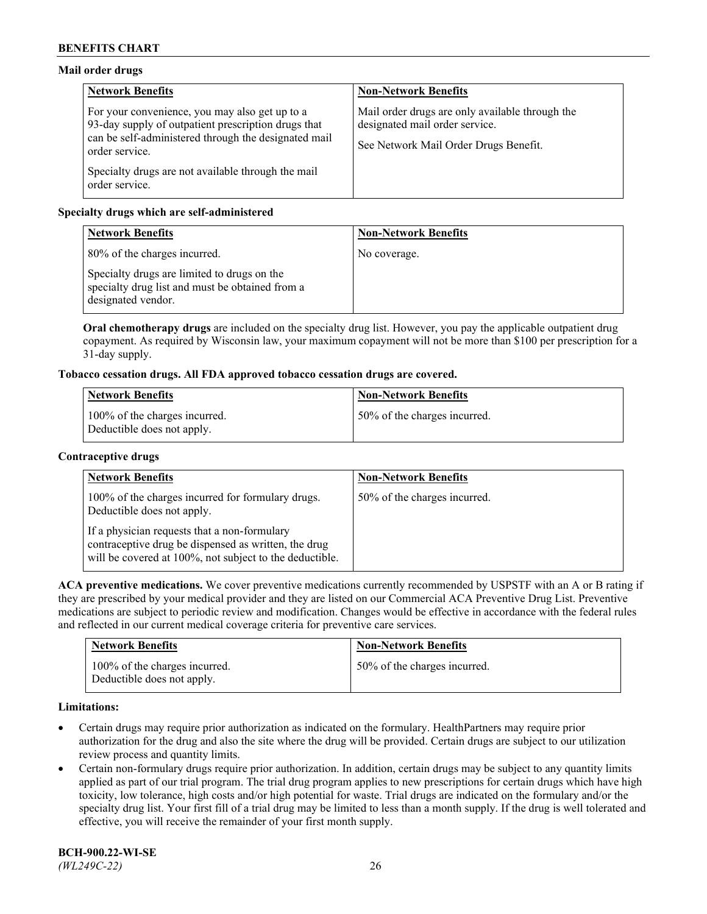## **Mail order drugs**

| <b>Network Benefits</b>                                                                                                                                                         | <b>Non-Network Benefits</b>                                                                                                |
|---------------------------------------------------------------------------------------------------------------------------------------------------------------------------------|----------------------------------------------------------------------------------------------------------------------------|
| For your convenience, you may also get up to a<br>93-day supply of outpatient prescription drugs that<br>can be self-administered through the designated mail<br>order service. | Mail order drugs are only available through the<br>designated mail order service.<br>See Network Mail Order Drugs Benefit. |
| Specialty drugs are not available through the mail<br>order service.                                                                                                            |                                                                                                                            |

# **Specialty drugs which are self-administered**

| <b>Network Benefits</b>                                                                                              | <b>Non-Network Benefits</b> |
|----------------------------------------------------------------------------------------------------------------------|-----------------------------|
| 80% of the charges incurred.                                                                                         | No coverage.                |
| Specialty drugs are limited to drugs on the<br>specialty drug list and must be obtained from a<br>designated vendor. |                             |

**Oral chemotherapy drugs** are included on the specialty drug list. However, you pay the applicable outpatient drug copayment. As required by Wisconsin law, your maximum copayment will not be more than \$100 per prescription for a 31-day supply.

## **Tobacco cessation drugs. All FDA approved tobacco cessation drugs are covered.**

| Network Benefits                                            | <b>Non-Network Benefits</b>  |
|-------------------------------------------------------------|------------------------------|
| 100% of the charges incurred.<br>Deductible does not apply. | 50% of the charges incurred. |

## **Contraceptive drugs**

| <b>Network Benefits</b>                                                                                                                                         | <b>Non-Network Benefits</b>  |
|-----------------------------------------------------------------------------------------------------------------------------------------------------------------|------------------------------|
| 100% of the charges incurred for formulary drugs.<br>Deductible does not apply.                                                                                 | 50% of the charges incurred. |
| If a physician requests that a non-formulary<br>contraceptive drug be dispensed as written, the drug<br>will be covered at 100%, not subject to the deductible. |                              |

**ACA preventive medications.** We cover preventive medications currently recommended by USPSTF with an A or B rating if they are prescribed by your medical provider and they are listed on our Commercial ACA Preventive Drug List. Preventive medications are subject to periodic review and modification. Changes would be effective in accordance with the federal rules and reflected in our current medical coverage criteria for preventive care services.

| <b>Network Benefits</b>                                     | <b>Non-Network Benefits</b>  |
|-------------------------------------------------------------|------------------------------|
| 100% of the charges incurred.<br>Deductible does not apply. | 50% of the charges incurred. |

## **Limitations:**

- Certain drugs may require prior authorization as indicated on the formulary. HealthPartners may require prior authorization for the drug and also the site where the drug will be provided. Certain drugs are subject to our utilization review process and quantity limits.
- Certain non-formulary drugs require prior authorization. In addition, certain drugs may be subject to any quantity limits applied as part of our trial program. The trial drug program applies to new prescriptions for certain drugs which have high toxicity, low tolerance, high costs and/or high potential for waste. Trial drugs are indicated on the formulary and/or the specialty drug list. Your first fill of a trial drug may be limited to less than a month supply. If the drug is well tolerated and effective, you will receive the remainder of your first month supply.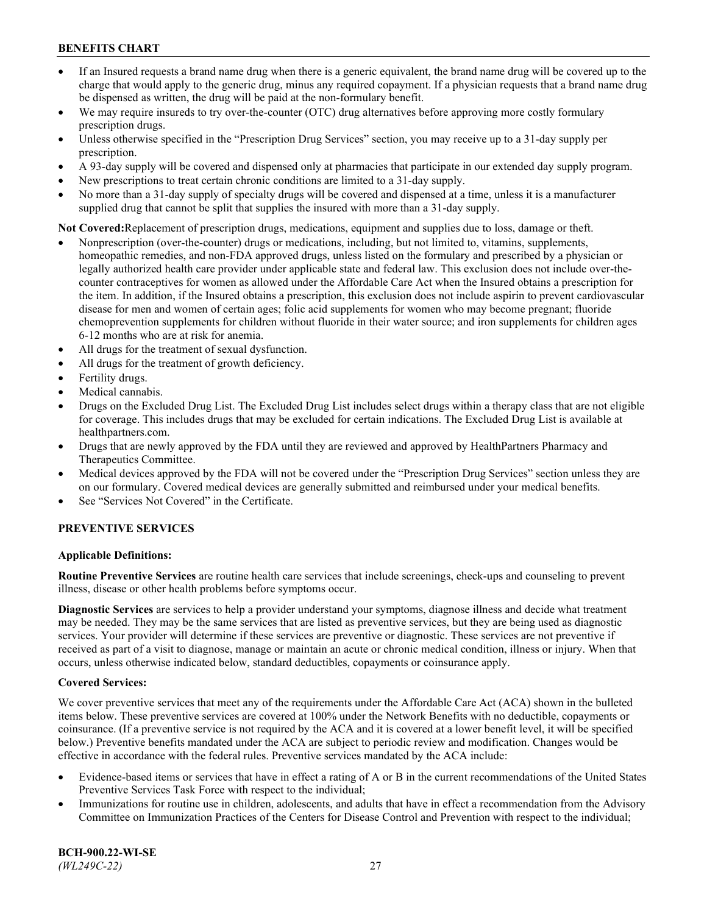- If an Insured requests a brand name drug when there is a generic equivalent, the brand name drug will be covered up to the charge that would apply to the generic drug, minus any required copayment. If a physician requests that a brand name drug be dispensed as written, the drug will be paid at the non-formulary benefit.
- We may require insureds to try over-the-counter (OTC) drug alternatives before approving more costly formulary prescription drugs.
- Unless otherwise specified in the "Prescription Drug Services" section, you may receive up to a 31-day supply per prescription.
- A 93-day supply will be covered and dispensed only at pharmacies that participate in our extended day supply program.
- New prescriptions to treat certain chronic conditions are limited to a 31-day supply.
- No more than a 31-day supply of specialty drugs will be covered and dispensed at a time, unless it is a manufacturer supplied drug that cannot be split that supplies the insured with more than a 31-day supply.

**Not Covered:**Replacement of prescription drugs, medications, equipment and supplies due to loss, damage or theft.

- Nonprescription (over-the-counter) drugs or medications, including, but not limited to, vitamins, supplements, homeopathic remedies, and non-FDA approved drugs, unless listed on the formulary and prescribed by a physician or legally authorized health care provider under applicable state and federal law. This exclusion does not include over-thecounter contraceptives for women as allowed under the Affordable Care Act when the Insured obtains a prescription for the item. In addition, if the Insured obtains a prescription, this exclusion does not include aspirin to prevent cardiovascular disease for men and women of certain ages; folic acid supplements for women who may become pregnant; fluoride chemoprevention supplements for children without fluoride in their water source; and iron supplements for children ages 6-12 months who are at risk for anemia.
- All drugs for the treatment of sexual dysfunction.
- All drugs for the treatment of growth deficiency.
- Fertility drugs.
- Medical cannabis.
- Drugs on the Excluded Drug List. The Excluded Drug List includes select drugs within a therapy class that are not eligible for coverage. This includes drugs that may be excluded for certain indications. The Excluded Drug List is available at [healthpartners.com.](http://www.healthpartners.com/)
- Drugs that are newly approved by the FDA until they are reviewed and approved by HealthPartners Pharmacy and Therapeutics Committee.
- Medical devices approved by the FDA will not be covered under the "Prescription Drug Services" section unless they are on our formulary. Covered medical devices are generally submitted and reimbursed under your medical benefits.
- See "Services Not Covered" in the Certificate.

## **PREVENTIVE SERVICES**

## **Applicable Definitions:**

**Routine Preventive Services** are routine health care services that include screenings, check-ups and counseling to prevent illness, disease or other health problems before symptoms occur.

**Diagnostic Services** are services to help a provider understand your symptoms, diagnose illness and decide what treatment may be needed. They may be the same services that are listed as preventive services, but they are being used as diagnostic services. Your provider will determine if these services are preventive or diagnostic. These services are not preventive if received as part of a visit to diagnose, manage or maintain an acute or chronic medical condition, illness or injury. When that occurs, unless otherwise indicated below, standard deductibles, copayments or coinsurance apply.

## **Covered Services:**

We cover preventive services that meet any of the requirements under the Affordable Care Act (ACA) shown in the bulleted items below. These preventive services are covered at 100% under the Network Benefits with no deductible, copayments or coinsurance. (If a preventive service is not required by the ACA and it is covered at a lower benefit level, it will be specified below.) Preventive benefits mandated under the ACA are subject to periodic review and modification. Changes would be effective in accordance with the federal rules. Preventive services mandated by the ACA include:

- Evidence-based items or services that have in effect a rating of A or B in the current recommendations of the United States Preventive Services Task Force with respect to the individual;
- Immunizations for routine use in children, adolescents, and adults that have in effect a recommendation from the Advisory Committee on Immunization Practices of the Centers for Disease Control and Prevention with respect to the individual;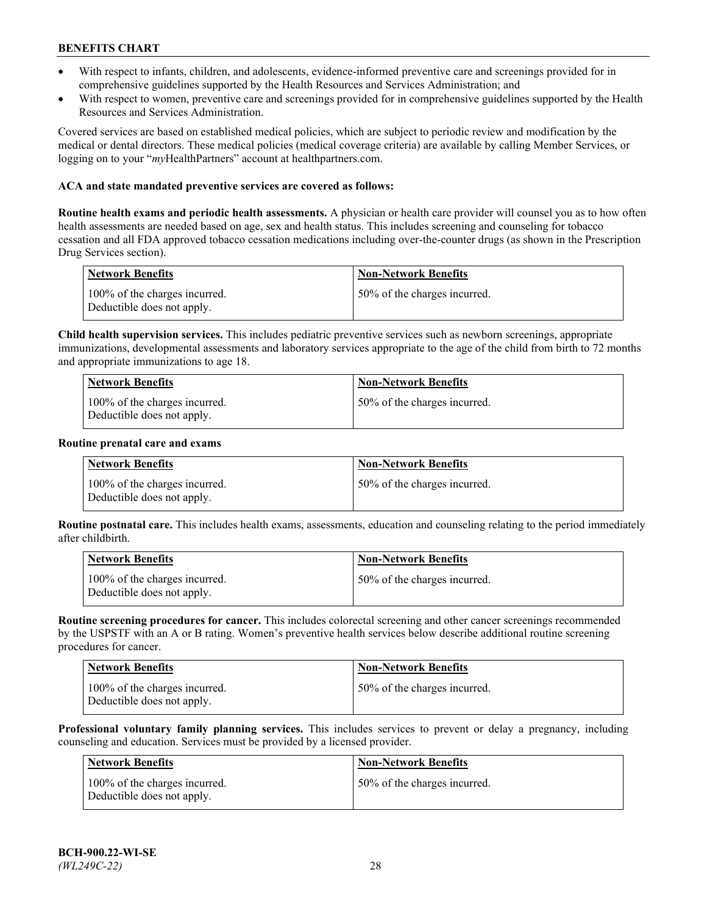- With respect to infants, children, and adolescents, evidence-informed preventive care and screenings provided for in comprehensive guidelines supported by the Health Resources and Services Administration; and
- With respect to women, preventive care and screenings provided for in comprehensive guidelines supported by the Health Resources and Services Administration.

Covered services are based on established medical policies, which are subject to periodic review and modification by the medical or dental directors. These medical policies (medical coverage criteria) are available by calling Member Services, or logging on to your "*my*HealthPartners" account at [healthpartners.com.](https://www.healthpartners.com/hp/index.html)

## **ACA and state mandated preventive services are covered as follows:**

**Routine health exams and periodic health assessments.** A physician or health care provider will counsel you as to how often health assessments are needed based on age, sex and health status. This includes screening and counseling for tobacco cessation and all FDA approved tobacco cessation medications including over-the-counter drugs (as shown in the Prescription Drug Services section).

| <b>Network Benefits</b>                                     | <b>Non-Network Benefits</b>  |
|-------------------------------------------------------------|------------------------------|
| 100% of the charges incurred.<br>Deductible does not apply. | 50% of the charges incurred. |

**Child health supervision services.** This includes pediatric preventive services such as newborn screenings, appropriate immunizations, developmental assessments and laboratory services appropriate to the age of the child from birth to 72 months and appropriate immunizations to age 18.

| Network Benefits                                            | <b>Non-Network Benefits</b>  |
|-------------------------------------------------------------|------------------------------|
| 100% of the charges incurred.<br>Deductible does not apply. | 50% of the charges incurred. |

#### **Routine prenatal care and exams**

| Network Benefits                                            | <b>Non-Network Benefits</b>  |
|-------------------------------------------------------------|------------------------------|
| 100% of the charges incurred.<br>Deductible does not apply. | 50% of the charges incurred. |

**Routine postnatal care.** This includes health exams, assessments, education and counseling relating to the period immediately after childbirth.

| Network Benefits                                            | <b>Non-Network Benefits</b>  |
|-------------------------------------------------------------|------------------------------|
| 100% of the charges incurred.<br>Deductible does not apply. | 50% of the charges incurred. |

**Routine screening procedures for cancer.** This includes colorectal screening and other cancer screenings recommended by the USPSTF with an A or B rating. Women's preventive health services below describe additional routine screening procedures for cancer.

| Network Benefits                                            | <b>Non-Network Benefits</b>  |
|-------------------------------------------------------------|------------------------------|
| 100% of the charges incurred.<br>Deductible does not apply. | 50% of the charges incurred. |

**Professional voluntary family planning services.** This includes services to prevent or delay a pregnancy, including counseling and education. Services must be provided by a licensed provider.

| <b>Network Benefits</b>                                     | <b>Non-Network Benefits</b>  |
|-------------------------------------------------------------|------------------------------|
| 100% of the charges incurred.<br>Deductible does not apply. | 50% of the charges incurred. |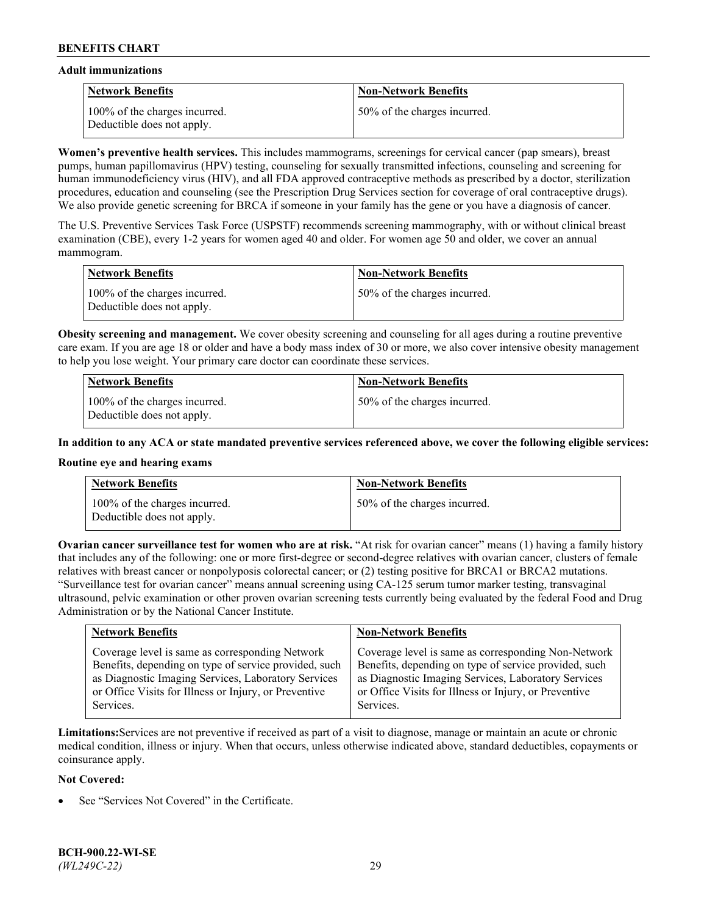### **Adult immunizations**

| Network Benefits                                            | <b>Non-Network Benefits</b>  |
|-------------------------------------------------------------|------------------------------|
| 100% of the charges incurred.<br>Deductible does not apply. | 50% of the charges incurred. |

**Women's preventive health services.** This includes mammograms, screenings for cervical cancer (pap smears), breast pumps, human papillomavirus (HPV) testing, counseling for sexually transmitted infections, counseling and screening for human immunodeficiency virus (HIV), and all FDA approved contraceptive methods as prescribed by a doctor, sterilization procedures, education and counseling (see the Prescription Drug Services section for coverage of oral contraceptive drugs). We also provide genetic screening for BRCA if someone in your family has the gene or you have a diagnosis of cancer.

The U.S. Preventive Services Task Force (USPSTF) recommends screening mammography, with or without clinical breast examination (CBE), every 1-2 years for women aged 40 and older. For women age 50 and older, we cover an annual mammogram.

| Network Benefits                                            | <b>Non-Network Benefits</b>  |
|-------------------------------------------------------------|------------------------------|
| 100% of the charges incurred.<br>Deductible does not apply. | 50% of the charges incurred. |

**Obesity screening and management.** We cover obesity screening and counseling for all ages during a routine preventive care exam. If you are age 18 or older and have a body mass index of 30 or more, we also cover intensive obesity management to help you lose weight. Your primary care doctor can coordinate these services.

| Network Benefits                                            | <b>Non-Network Benefits</b>  |
|-------------------------------------------------------------|------------------------------|
| 100% of the charges incurred.<br>Deductible does not apply. | 50% of the charges incurred. |

**In addition to any ACA or state mandated preventive services referenced above, we cover the following eligible services:**

## **Routine eye and hearing exams**

| <b>Network Benefits</b>                                     | <b>Non-Network Benefits</b>  |
|-------------------------------------------------------------|------------------------------|
| 100% of the charges incurred.<br>Deductible does not apply. | 50% of the charges incurred. |

**Ovarian cancer surveillance test for women who are at risk.** "At risk for ovarian cancer" means (1) having a family history that includes any of the following: one or more first-degree or second-degree relatives with ovarian cancer, clusters of female relatives with breast cancer or nonpolyposis colorectal cancer; or (2) testing positive for BRCA1 or BRCA2 mutations. "Surveillance test for ovarian cancer" means annual screening using CA-125 serum tumor marker testing, transvaginal ultrasound, pelvic examination or other proven ovarian screening tests currently being evaluated by the federal Food and Drug Administration or by the National Cancer Institute.

| <b>Network Benefits</b>                               | <b>Non-Network Benefits</b>                           |
|-------------------------------------------------------|-------------------------------------------------------|
| Coverage level is same as corresponding Network       | Coverage level is same as corresponding Non-Network   |
| Benefits, depending on type of service provided, such | Benefits, depending on type of service provided, such |
| as Diagnostic Imaging Services, Laboratory Services   | as Diagnostic Imaging Services, Laboratory Services   |
| or Office Visits for Illness or Injury, or Preventive | or Office Visits for Illness or Injury, or Preventive |
| Services.                                             | Services.                                             |

**Limitations:**Services are not preventive if received as part of a visit to diagnose, manage or maintain an acute or chronic medical condition, illness or injury. When that occurs, unless otherwise indicated above, standard deductibles, copayments or coinsurance apply.

#### **Not Covered:**

See "Services Not Covered" in the Certificate.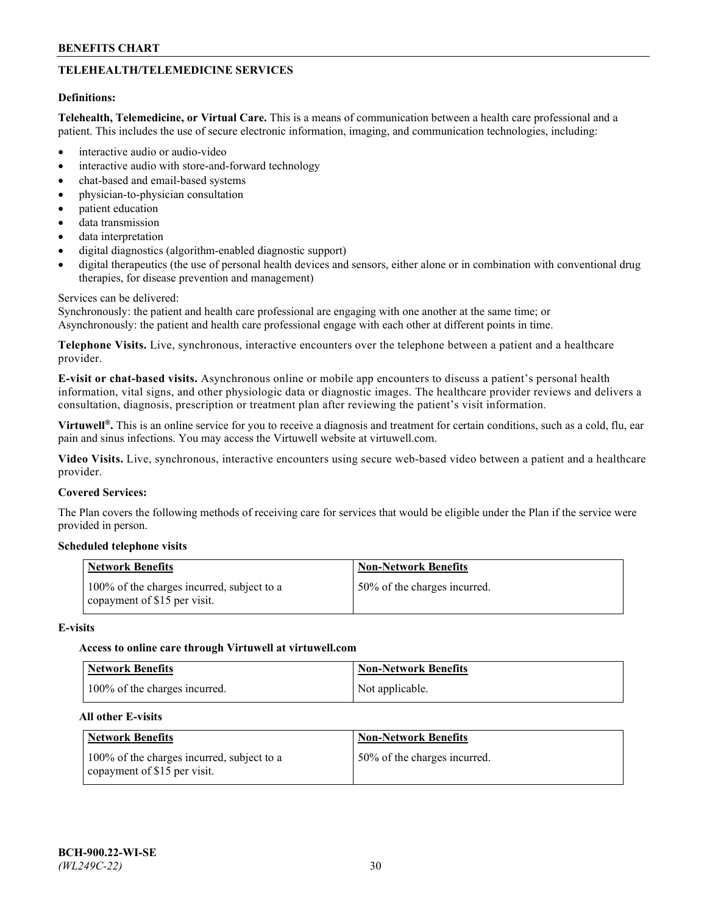# **TELEHEALTH/TELEMEDICINE SERVICES**

#### **Definitions:**

**Telehealth, Telemedicine, or Virtual Care.** This is a means of communication between a health care professional and a patient. This includes the use of secure electronic information, imaging, and communication technologies, including:

- interactive audio or audio-video
- interactive audio with store-and-forward technology
- chat-based and email-based systems
- physician-to-physician consultation
- patient education
- data transmission
- data interpretation
- digital diagnostics (algorithm-enabled diagnostic support)
- digital therapeutics (the use of personal health devices and sensors, either alone or in combination with conventional drug therapies, for disease prevention and management)

#### Services can be delivered:

Synchronously: the patient and health care professional are engaging with one another at the same time; or Asynchronously: the patient and health care professional engage with each other at different points in time.

**Telephone Visits.** Live, synchronous, interactive encounters over the telephone between a patient and a healthcare provider.

**E-visit or chat-based visits.** Asynchronous online or mobile app encounters to discuss a patient's personal health information, vital signs, and other physiologic data or diagnostic images. The healthcare provider reviews and delivers a consultation, diagnosis, prescription or treatment plan after reviewing the patient's visit information.

**Virtuwell®.** This is an online service for you to receive a diagnosis and treatment for certain conditions, such as a cold, flu, ear pain and sinus infections. You may access the Virtuwell website at [virtuwell.com.](https://www.virtuwell.com/)

**Video Visits.** Live, synchronous, interactive encounters using secure web-based video between a patient and a healthcare provider.

#### **Covered Services:**

The Plan covers the following methods of receiving care for services that would be eligible under the Plan if the service were provided in person.

## **Scheduled telephone visits**

| <b>Network Benefits</b>                                                    | <b>Non-Network Benefits</b>  |
|----------------------------------------------------------------------------|------------------------------|
| 100% of the charges incurred, subject to a<br>copayment of \$15 per visit. | 50% of the charges incurred. |

#### **E-visits**

#### **Access to online care through Virtuwell at [virtuwell.com](https://www.virtuwell.com/)**

| <b>Network Benefits</b>       | <b>Non-Network Benefits</b> |
|-------------------------------|-----------------------------|
| 100% of the charges incurred. | Not applicable.             |

#### **All other E-visits**

| <b>Network Benefits</b>                                                    | <b>Non-Network Benefits</b>  |
|----------------------------------------------------------------------------|------------------------------|
| 100% of the charges incurred, subject to a<br>copayment of \$15 per visit. | 50% of the charges incurred. |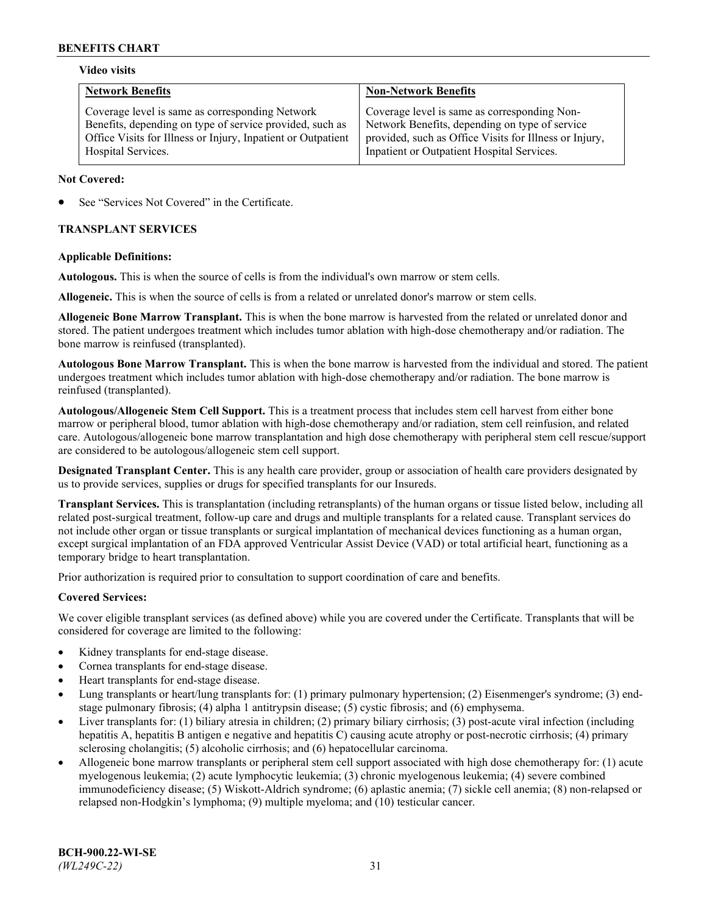## **Video visits**

| <b>Network Benefits</b>                                      | <b>Non-Network Benefits</b>                            |
|--------------------------------------------------------------|--------------------------------------------------------|
| Coverage level is same as corresponding Network              | Coverage level is same as corresponding Non-           |
| Benefits, depending on type of service provided, such as     | Network Benefits, depending on type of service         |
| Office Visits for Illness or Injury, Inpatient or Outpatient | provided, such as Office Visits for Illness or Injury, |
| Hospital Services.                                           | Inpatient or Outpatient Hospital Services.             |

### **Not Covered:**

See "Services Not Covered" in the Certificate.

## **TRANSPLANT SERVICES**

### **Applicable Definitions:**

**Autologous.** This is when the source of cells is from the individual's own marrow or stem cells.

**Allogeneic.** This is when the source of cells is from a related or unrelated donor's marrow or stem cells.

**Allogeneic Bone Marrow Transplant.** This is when the bone marrow is harvested from the related or unrelated donor and stored. The patient undergoes treatment which includes tumor ablation with high-dose chemotherapy and/or radiation. The bone marrow is reinfused (transplanted).

**Autologous Bone Marrow Transplant.** This is when the bone marrow is harvested from the individual and stored. The patient undergoes treatment which includes tumor ablation with high-dose chemotherapy and/or radiation. The bone marrow is reinfused (transplanted).

**Autologous/Allogeneic Stem Cell Support.** This is a treatment process that includes stem cell harvest from either bone marrow or peripheral blood, tumor ablation with high-dose chemotherapy and/or radiation, stem cell reinfusion, and related care. Autologous/allogeneic bone marrow transplantation and high dose chemotherapy with peripheral stem cell rescue/support are considered to be autologous/allogeneic stem cell support.

**Designated Transplant Center.** This is any health care provider, group or association of health care providers designated by us to provide services, supplies or drugs for specified transplants for our Insureds.

**Transplant Services.** This is transplantation (including retransplants) of the human organs or tissue listed below, including all related post-surgical treatment, follow-up care and drugs and multiple transplants for a related cause. Transplant services do not include other organ or tissue transplants or surgical implantation of mechanical devices functioning as a human organ, except surgical implantation of an FDA approved Ventricular Assist Device (VAD) or total artificial heart, functioning as a temporary bridge to heart transplantation.

Prior authorization is required prior to consultation to support coordination of care and benefits.

# **Covered Services:**

We cover eligible transplant services (as defined above) while you are covered under the Certificate. Transplants that will be considered for coverage are limited to the following:

- Kidney transplants for end-stage disease.
- Cornea transplants for end-stage disease.
- Heart transplants for end-stage disease.
- Lung transplants or heart/lung transplants for: (1) primary pulmonary hypertension; (2) Eisenmenger's syndrome; (3) endstage pulmonary fibrosis; (4) alpha 1 antitrypsin disease; (5) cystic fibrosis; and (6) emphysema.
- Liver transplants for: (1) biliary atresia in children; (2) primary biliary cirrhosis; (3) post-acute viral infection (including hepatitis A, hepatitis B antigen e negative and hepatitis C) causing acute atrophy or post-necrotic cirrhosis; (4) primary sclerosing cholangitis; (5) alcoholic cirrhosis; and (6) hepatocellular carcinoma.
- Allogeneic bone marrow transplants or peripheral stem cell support associated with high dose chemotherapy for: (1) acute myelogenous leukemia; (2) acute lymphocytic leukemia; (3) chronic myelogenous leukemia; (4) severe combined immunodeficiency disease; (5) Wiskott-Aldrich syndrome; (6) aplastic anemia; (7) sickle cell anemia; (8) non-relapsed or relapsed non-Hodgkin's lymphoma; (9) multiple myeloma; and (10) testicular cancer.